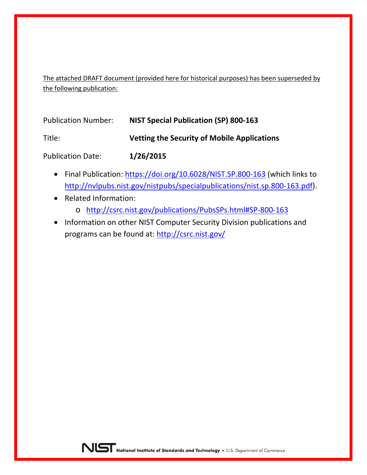The attached DRAFT document (provided here for historical purposes) has been superseded by the following publication:

| <b>Publication Number:</b> | <b>NIST Special Publication (SP) 800-163</b>       |
|----------------------------|----------------------------------------------------|
| Title:                     | <b>Vetting the Security of Mobile Applications</b> |
| <b>Publication Date:</b>   | 1/26/2015                                          |

- Final Publication:<https://doi.org/10.6028/NIST.SP.800-163> (which links to [http://nvlpubs.nist.gov/nistpubs/specialpublications/nist.sp.800-163.pdf\)](http://nvlpubs.nist.gov/nistpubs/specialpublications/nist.sp.800-163.pdf).
- Related Information:
	- o <http://csrc.nist.gov/publications/PubsSPs.html#SP-800-163>
- Information on other NIST Computer Security Division publications and programs can be found at:<http://csrc.nist.gov/>

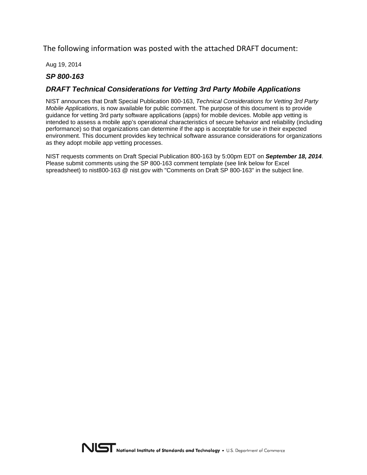The following information was posted with the attached DRAFT document:

Aug 19, 2014

## *SP 800-163*

## *DRAFT Technical Considerations for Vetting 3rd Party Mobile Applications*

NIST announces that Draft Special Publication 800-163, *Technical Considerations for Vetting 3rd Party Mobile Applications*, is now available for public comment. The purpose of this document is to provide guidance for vetting 3rd party software applications (apps) for mobile devices. Mobile app vetting is intended to assess a mobile app's operational characteristics of secure behavior and reliability (including performance) so that organizations can determine if the app is acceptable for use in their expected environment. This document provides key technical software assurance considerations for organizations as they adopt mobile app vetting processes.

NIST requests comments on Draft Special Publication 800-163 by 5:00pm EDT on *September 18, 2014*. Please submit comments using the SP 800-163 comment template (see link below for Excel spreadsheet) to nist800-163 @ nist.gov with "Comments on Draft SP 800-163" in the subject line.

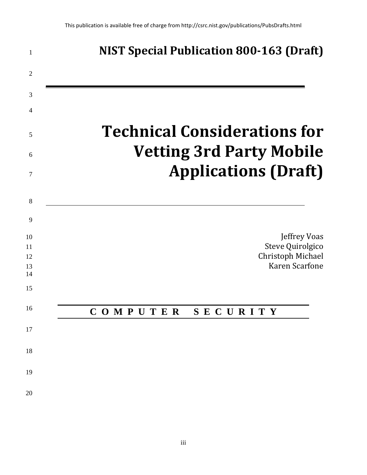| 1              | <b>NIST Special Publication 800-163 (Draft)</b>                        |
|----------------|------------------------------------------------------------------------|
| $\overline{2}$ |                                                                        |
| 3              |                                                                        |
| 4              |                                                                        |
| 5<br>6         | <b>Technical Considerations for</b><br><b>Vetting 3rd Party Mobile</b> |
| 7              | <b>Applications (Draft)</b>                                            |
| 8              |                                                                        |
| 9              |                                                                        |
| 10             | <b>Jeffrey Voas</b>                                                    |
| 11<br>12<br>13 | Steve Quirolgico<br>Christoph Michael<br>Karen Scarfone                |
| 14             |                                                                        |
| 15             |                                                                        |
| 16             | COMPUTER<br><b>SECURITY</b>                                            |
| 17             |                                                                        |
| 18             |                                                                        |
| 19             |                                                                        |
| 20             |                                                                        |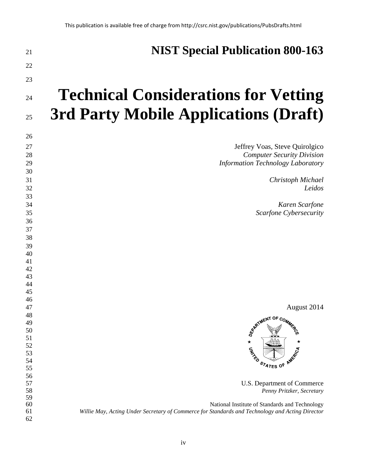| 21       | <b>NIST Special Publication 800-163</b>                                                         |
|----------|-------------------------------------------------------------------------------------------------|
| 22       |                                                                                                 |
| 23       |                                                                                                 |
| 24       | <b>Technical Considerations for Vetting</b>                                                     |
| 25       | <b>3rd Party Mobile Applications (Draft)</b>                                                    |
| 26       |                                                                                                 |
| 27       | Jeffrey Voas, Steve Quirolgico                                                                  |
| 28       | <b>Computer Security Division</b>                                                               |
| 29       | <b>Information Technology Laboratory</b>                                                        |
| 30       |                                                                                                 |
| 31       | Christoph Michael                                                                               |
| 32       | Leidos                                                                                          |
| 33       |                                                                                                 |
| 34       | Karen Scarfone                                                                                  |
| 35       | Scarfone Cybersecurity                                                                          |
| 36       |                                                                                                 |
| 37       |                                                                                                 |
| 38       |                                                                                                 |
| 39       |                                                                                                 |
| 40       |                                                                                                 |
| 41       |                                                                                                 |
| 42       |                                                                                                 |
| 43       |                                                                                                 |
| 44       |                                                                                                 |
| 45       |                                                                                                 |
| 46<br>47 | August 2014                                                                                     |
| 48       |                                                                                                 |
| 49       | REATMENT OF COMMIC                                                                              |
| 50       |                                                                                                 |
| 51       |                                                                                                 |
| 52       |                                                                                                 |
| 53       | <b>CANNO</b>                                                                                    |
| 54       | STATES OF                                                                                       |
| 55       |                                                                                                 |
| 56       |                                                                                                 |
| 57       | U.S. Department of Commerce                                                                     |
| 58<br>59 | Penny Pritzker, Secretary                                                                       |
| 60       | National Institute of Standards and Technology                                                  |
| 61       | Willie May, Acting Under Secretary of Commerce for Standards and Technology and Acting Director |
| 62       |                                                                                                 |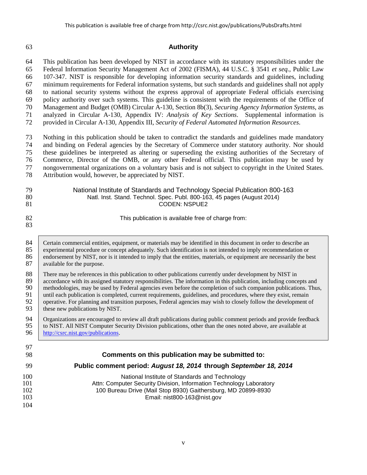#### **Authority**

 This publication has been developed by NIST in accordance with its statutory responsibilities under the Federal Information Security Management Act of 2002 (FISMA), 44 U.S.C. § 3541 *et seq.*, Public Law

107-347. NIST is responsible for developing information security standards and guidelines, including

minimum requirements for Federal information systems, but such standards and guidelines shall not apply

to national security systems without the express approval of appropriate Federal officials exercising

- policy authority over such systems. This guideline is consistent with the requirements of the Office of
- Management and Budget (OMB) Circular A-130, Section 8b(3), *Securing Agency Information Systems*, as
- analyzed in Circular A-130, Appendix IV: *Analysis of Key Sections*. Supplemental information is provided in Circular A-130, Appendix III, *Security of Federal Automated Information Resources*.

 Nothing in this publication should be taken to contradict the standards and guidelines made mandatory and binding on Federal agencies by the Secretary of Commerce under statutory authority. Nor should these guidelines be interpreted as altering or superseding the existing authorities of the Secretary of Commerce, Director of the OMB, or any other Federal official. This publication may be used by nongovernmental organizations on a voluntary basis and is not subject to copyright in the United States.

Attribution would, however, be appreciated by NIST.

| 79 | National Institute of Standards and Technology Special Publication 800-163 |
|----|----------------------------------------------------------------------------|
| 80 | Natl. Inst. Stand. Technol. Spec. Publ. 800-163, 45 pages (August 2014)    |
| 81 | CODEN: NSPUE2                                                              |
|    |                                                                            |

This publication is available free of charge from:

84 Certain commercial entities, equipment, or materials may be identified in this document in order to describe an experimental procedure or concept adequately. Such identification is not intended to imply recommendation o 85 experimental procedure or concept adequately. Such identification is not intended to imply recommendation or<br>86 endorsement by NIST, nor is it intended to imply that the entities, materials, or equipment are necessarily 86 endorsement by NIST, nor is it intended to imply that the entities, materials, or equipment are necessarily the best available for the purpose. available for the purpose.

88 There may be references in this publication to other publications currently under development by NIST in accordance with its assigned statutory responsibilities. The information in this publication, including conce

accordance with its assigned statutory responsibilities. The information in this publication, including concepts and methodologies, may be used by Federal agencies even before the completion of such companion publications. Thus, 91 until each publication is completed, current requirements, guidelines, and procedures, where they exist, remain operative. For planning and transition purposes. Federal agencies may wish to closely follow the developmen operative. For planning and transition purposes, Federal agencies may wish to closely follow the development of 93 these new publications by NIST.

94 Organizations are encouraged to review all draft publications during public comment periods and provide feedback<br>95 to NIST. All NIST Computer Security Division publications, other than the ones noted above, are availab 95 to NIST. All NIST Computer Security Division publications, other than the ones noted above, are available at http://csrc.nist.gov/publications. [http://csrc.nist.gov/publications.](http://csrc.nist.gov/publications)

## **Comments on this publication may be submitted to: Public comment period:** *August 18, 2014* **through** *September 18, 2014* 100 **National Institute of Standards and Technology**<br>101 **Attn: Computer Security Division, Information Technology** Attn: Computer Security Division, Information Technology Laboratory 100 Bureau Drive (Mail Stop 8930) Gaithersburg, MD 20899-8930 Email: nist800-163@nist.gov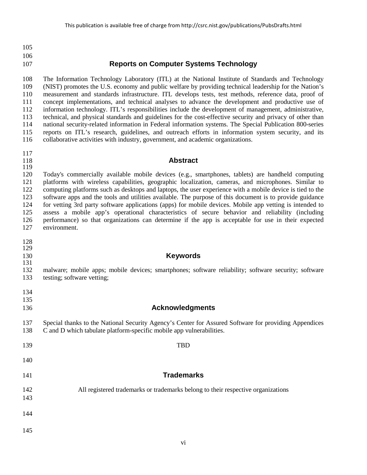## **Reports on Computer Systems Technology**

 The Information Technology Laboratory (ITL) at the National Institute of Standards and Technology (NIST) promotes the U.S. economy and public welfare by providing technical leadership for the Nation's measurement and standards infrastructure. ITL develops tests, test methods, reference data, proof of concept implementations, and technical analyses to advance the development and productive use of information technology. ITL's responsibilities include the development of management, administrative, technical, and physical standards and guidelines for the cost-effective security and privacy of other than national security-related information in Federal information systems. The Special Publication 800-series reports on ITL's research, guidelines, and outreach efforts in information system security, and its collaborative activities with industry, government, and academic organizations.

# 

#### **Abstract**

 Today's commercially available mobile devices (e.g., smartphones, tablets) are handheld computing platforms with wireless capabilities, geographic localization, cameras, and microphones. Similar to computing platforms such as desktops and laptops, the user experience with a mobile device is tied to the software apps and the tools and utilities available. The purpose of this document is to provide guidance for vetting 3rd party software applications (apps) for mobile devices. Mobile app vetting is intended to assess a mobile app's operational characteristics of secure behavior and reliability (including 126 performance) so that organizations can determine if the app is acceptable for use in their expected environment. environment.

- 
- 

#### **Keywords**

- malware; mobile apps; mobile devices; smartphones; software reliability; software security; software testing; software vetting;
- 
- 
- 

#### **Acknowledgments**

- Special thanks to the National Security Agency's Center for Assured Software for providing Appendices C and D which tabulate platform-specific mobile app vulnerabilities.
- TBD
- 
- **Trademarks**
- 

All registered trademarks or trademarks belong to their respective organizations

- 
- 
- 
-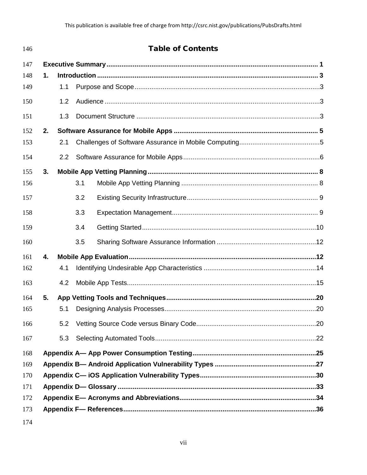| 146 |    |                  |     | <b>Table of Contents</b> |  |
|-----|----|------------------|-----|--------------------------|--|
| 147 |    |                  |     |                          |  |
| 148 | 1. |                  |     |                          |  |
| 149 |    | 1.1              |     |                          |  |
| 150 |    | $1.2^{\circ}$    |     |                          |  |
| 151 |    | 1.3              |     |                          |  |
| 152 | 2. |                  |     |                          |  |
| 153 |    | 2.1              |     |                          |  |
| 154 |    | $2.2\phantom{0}$ |     |                          |  |
| 155 | 3. |                  |     |                          |  |
| 156 |    |                  | 3.1 |                          |  |
| 157 |    |                  | 3.2 |                          |  |
| 158 |    |                  | 3.3 |                          |  |
| 159 |    |                  | 3.4 |                          |  |
| 160 |    |                  | 3.5 |                          |  |
| 161 | 4. |                  |     |                          |  |
| 162 |    | 4.1              |     |                          |  |
| 163 |    | 4.2              |     |                          |  |
| 164 | 5. |                  |     |                          |  |
| 165 |    | 5.1              |     |                          |  |
| 166 |    | 5.2              |     |                          |  |
| 167 |    | 5.3              |     |                          |  |
| 168 |    |                  |     |                          |  |
| 169 |    |                  |     |                          |  |
| 170 |    |                  |     |                          |  |
| 171 |    |                  |     |                          |  |
| 172 |    |                  |     |                          |  |
| 173 |    |                  |     |                          |  |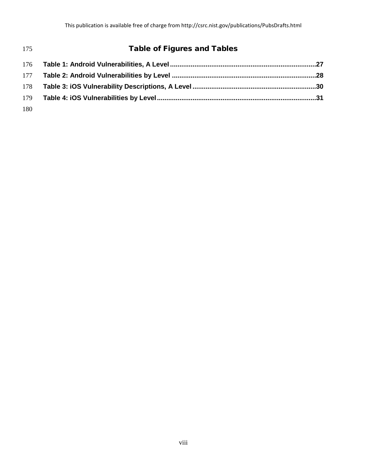| 175 | <b>Table of Figures and Tables</b> |  |
|-----|------------------------------------|--|
|     |                                    |  |
|     |                                    |  |
| 178 |                                    |  |
| 179 |                                    |  |
| 180 |                                    |  |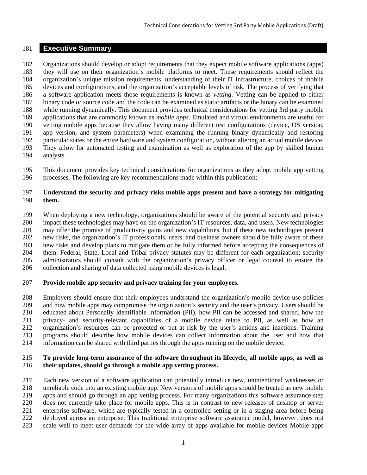#### <span id="page-8-0"></span>**Executive Summary**

 Organizations should develop or adopt requirements that they expect mobile software applications (apps) they will use on their organization's mobile platforms to meet. These requirements should reflect the organization's unique mission requirements, understanding of their IT infrastructure, choices of mobile devices and configurations, and the organization's acceptable levels of risk. The process of verifying that a software application meets those requirements is known as *vetting*. Vetting can be applied to either binary code or source code and the code can be examined as static artifacts or the binary can be examined while running dynamically. This document provides technical considerations for vetting 3rd party mobile applications that are commonly known as *mobile apps*. Emulated and virtual environments are useful for vetting mobile apps because they allow having many different test configurations (device, OS version, app version, and system parameters) when examining the running binary dynamically and restoring particular states or the entire hardware and system configuration, without altering an actual mobile device. They allow for automated testing and examination as well as exploration of the app by skilled human analysts.

 This document provides key technical considerations for organizations as they adopt mobile app vetting processes. The following are key recommendations made within this publication:

#### **Understand the security and privacy risks mobile apps present and have a strategy for mitigating them.**

 When deploying a new technology, organizations should be aware of the potential security and privacy impact these technologies may have on the organization's IT resources, data, and users. New technologies may offer the promise of productivity gains and new capabilities, but if these new technologies present new risks, the organization's IT professionals, users, and business owners should be fully aware of these new risks and develop plans to mitigate them or be fully informed before accepting the consequences of them. Federal, State, Local and Tribal privacy statutes may be different for each organization; security administrators should consult with the organization's privacy officer or legal counsel to ensure the collection and sharing of data collected using mobile devices is legal.

#### **Provide mobile app security and privacy training for your employees.**

 Employers should ensure that their employees understand the organization's mobile device use policies and how mobile apps may compromise the organization's security and the user's privacy. Users should be educated about Personally Identifiable Information (PII), how PII can be accessed and shared, how the privacy- and security-relevant capabilities of a mobile device relate to PII, as well as how an organization's resources can be protected or put at risk by the user's actions and inactions. Training programs should describe how mobile devices can collect information about the user and how that information can be shared with third parties through the apps running on the mobile device.

#### **To provide long-term assurance of the software throughout its lifecycle, all mobile apps, as well as their updates, should go through a mobile app vetting process.**

 Each new version of a software application can potentially introduce new, unintentional weaknesses or unreliable code into an existing mobile app. New versions of mobile apps should be treated as new mobile apps and should go through an app vetting process. For many organizations this software assurance step does not currently take place for mobile apps. This is in contrast to new releases of desktop or server enterprise software, which are typically tested in a controlled setting or in a staging area before being deployed across an enterprise. This traditional enterprise software assurance model, however, does not scale well to meet user demands for the wide array of apps available for mobile devices Mobile apps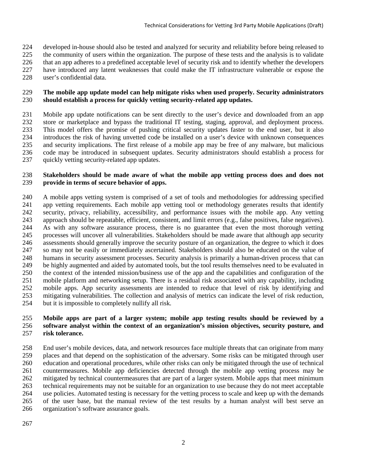- developed in-house should also be tested and analyzed for security and reliability before being released to
- the community of users within the organization. The purpose of these tests and the analysis is to validate
- that an app adheres to a predefined acceptable level of security risk and to identify whether the developers
- have introduced any latent weaknesses that could make the IT infrastructure vulnerable or expose the
- user's confidential data.

#### **The mobile app update model can help mitigate risks when used properly. Security administrators should establish a process for quickly vetting security-related app updates.**

 Mobile app update notifications can be sent directly to the user's device and downloaded from an app store or marketplace and bypass the traditional IT testing, staging, approval, and deployment process. This model offers the promise of pushing critical security updates faster to the end user, but it also introduces the risk of having unvetted code be installed on a user's device with unknown consequences and security implications. The first release of a mobile app may be free of any malware, but malicious code may be introduced in subsequent updates. Security administrators should establish a process for 237 quickly vetting security-related app updates.

#### **Stakeholders should be made aware of what the mobile app vetting process does and does not provide in terms of secure behavior of apps.**

 A mobile apps vetting system is comprised of a set of tools and methodologies for addressing specified app vetting requirements. Each mobile app vetting tool or methodology generates results that identify security, privacy, reliability, accessibility, and performance issues with the mobile app. Any vetting 243 approach should be repeatable, efficient, consistent, and limit errors (e.g., false positives, false negatives).<br>244 As with any software assurance process, there is no guarantee that even the most thorough vetting As with any software assurance process, there is no guarantee that even the most thorough vetting processes will uncover all vulnerabilities. Stakeholders should be made aware that although app security assessments should generally improve the security posture of an organization, the degree to which it does so may not be easily or immediately ascertained. Stakeholders should also be educated on the value of humans in security assessment processes. Security analysis is primarily a human-driven process that can be highly augmented and aided by automated tools, but the tool results themselves need to be evaluated in the context of the intended mission/business use of the app and the capabilities and configuration of the mobile platform and networking setup. There is a residual risk associated with any capability, including mobile apps. App security assessments are intended to reduce that level of risk by identifying and mitigating vulnerabilities. The collection and analysis of metrics can indicate the level of risk reduction, but it is impossible to completely nullify all risk.

#### **Mobile apps are part of a larger system; mobile app testing results should be reviewed by a software analyst within the context of an organization's mission objectives, security posture, and risk tolerance.**

 End user's mobile devices, data, and network resources face multiple threats that can originate from many places and that depend on the sophistication of the adversary. Some risks can be mitigated through user education and operational procedures, while other risks can only be mitigated through the use of technical countermeasures. Mobile app deficiencies detected through the mobile app vetting process may be mitigated by technical countermeasures that are part of a larger system. Mobile apps that meet minimum technical requirements may not be suitable for an organization to use because they do not meet acceptable use policies. Automated testing is necessary for the vetting process to scale and keep up with the demands of the user base, but the manual review of the test results by a human analyst will best serve an organization's software assurance goals.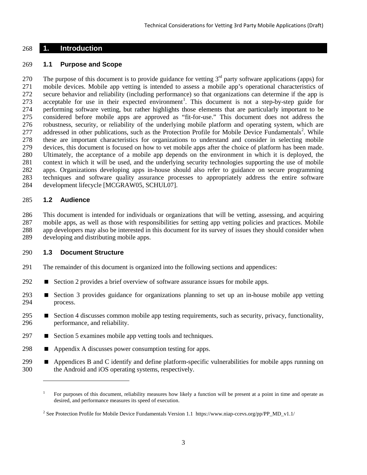#### <span id="page-10-0"></span>**1. Introduction**

#### <span id="page-10-1"></span>**1.1 Purpose and Scope**

270 The purpose of this document is to provide guidance for vetting  $3<sup>rd</sup>$  party software applications (apps) for mobile devices. Mobile app vetting is intended to assess a mobile app's operational characteristics of secure behavior and reliability (including performance) so that organizations can determine if the app is 273 acceptable for use in their expected environment<sup>[1](#page-10-4)</sup>. This document is not a step-by-step guide for performing software vetting, but rather highlights those elements that are particularly important to be considered before mobile apps are approved as "fit-for-use." This document does not address the robustness, security, or reliability of the underlying mobile platform and operating system, which are 77 addressed in other publications, such as the Protection Profile for Mobile Device Fundamentals<sup>2</sup>. While these are important characteristics for organizations to understand and consider in selecting mobile devices, this document is focused on how to vet mobile apps after the choice of platform has been made. Ultimately, the acceptance of a mobile app depends on the environment in which it is deployed, the context in which it will be used, and the underlying security technologies supporting the use of mobile apps. Organizations developing apps in-house should also refer to guidance on secure programming techniques and software quality assurance processes to appropriately address the entire software development lifecycle [MCGRAW05, SCHUL07].

#### <span id="page-10-2"></span>**1.2 Audience**

 $\overline{a}$ 

 This document is intended for individuals or organizations that will be vetting, assessing, and acquiring mobile apps, as well as those with responsibilities for setting app vetting policies and practices. Mobile app developers may also be interested in this document for its survey of issues they should consider when developing and distributing mobile apps.

#### <span id="page-10-3"></span>**1.3 Document Structure**

- The remainder of this document is organized into the following sections and appendices:
- **Section 2 provides a brief overview of software assurance issues for mobile apps.**
- Section 3 provides guidance for organizations planning to set up an in-house mobile app vetting process.
- 295 Section 4 discusses common mobile app testing requirements, such as security, privacy, functionality, performance, and reliability.
- 297 Section 5 examines mobile app vetting tools and techniques.
- **Appendix A discusses power consumption testing for apps.**
- <span id="page-10-4"></span>**Appendices B and C identify and define platform-specific vulnerabilities for mobile apps running on** the Android and iOS operating systems, respectively.

 For purposes of this document, reliability measures how likely a function will be present at a point in time and operate as desired, and performance measures its speed of execution.

<span id="page-10-5"></span><sup>&</sup>lt;sup>2</sup> See Protection Profile for Mobile Device Fundamentals Version 1.1 https://www.niap-ccevs.org/pp/PP\_MD\_v1.1/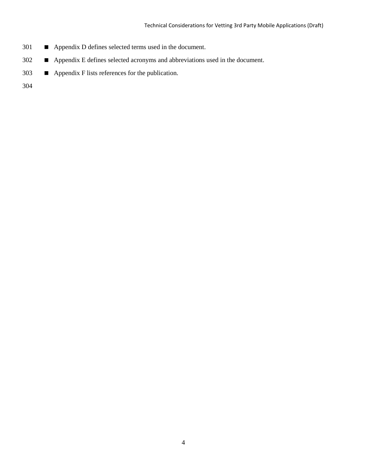- 301 Appendix D defines selected terms used in the document.
- 302 **Appendix E defines selected acronyms and abbreviations used in the document.**
- 303 Appendix F lists references for the publication.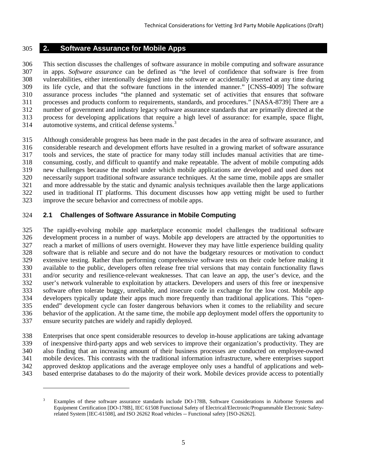## <span id="page-12-0"></span>**2. Software Assurance for Mobile Apps**

 This section discusses the challenges of software assurance in mobile computing and software assurance in apps. *Software assurance* can be defined as "the level of confidence that software is free from vulnerabilities, either intentionally designed into the software or accidentally inserted at any time during its life cycle, and that the software functions in the intended manner." [CNSS-4009] The software assurance process includes "the planned and systematic set of activities that ensures that software processes and products conform to requirements, standards, and procedures." [NASA-8739] There are a number of government and industry legacy software assurance standards that are primarily directed at the process for developing applications that require a high level of assurance: for example, space flight, 14 automotive systems, and critical defense systems.<sup>3</sup>

 Although considerable progress has been made in the past decades in the area of software assurance, and considerable research and development efforts have resulted in a growing market of software assurance tools and services, the state of practice for many today still includes manual activities that are time- consuming, costly, and difficult to quantify and make repeatable. The advent of mobile computing adds new challenges because the model under which mobile applications are developed and used does not necessarily support traditional software assurance techniques. At the same time, mobile apps are smaller and more addressable by the static and dynamic analysis techniques available then the large applications used in traditional IT platforms. This document discusses how app vetting might be used to further improve the secure behavior and correctness of mobile apps.

## <span id="page-12-1"></span>**2.1 Challenges of Software Assurance in Mobile Computing**

 $\overline{a}$ 

 The rapidly-evolving mobile app marketplace economic model challenges the traditional software development process in a number of ways. Mobile app developers are attracted by the opportunities to reach a market of millions of users overnight. However they may have little experience building quality software that is reliable and secure and do not have the budgetary resources or motivation to conduct extensive testing. Rather than performing comprehensive software tests on their code before making it available to the public, developers often release free trial versions that may contain functionality flaws and/or security and resilience-relevant weaknesses. That can leave an app, the user's device, and the user's network vulnerable to exploitation by attackers. Developers and users of this free or inexpensive software often tolerate buggy, unreliable, and insecure code in exchange for the low cost. Mobile app developers typically update their apps much more frequently than traditional applications. This "open- ended" development cycle can foster dangerous behaviors when it comes to the reliability and secure behavior of the application. At the same time, the mobile app deployment model offers the opportunity to ensure security patches are widely and rapidly deployed.

 Enterprises that once spent considerable resources to develop in-house applications are taking advantage of inexpensive third-party apps and web services to improve their organization's productivity. They are also finding that an increasing amount of their business processes are conducted on employee-owned mobile devices. This contrasts with the traditional information infrastructure, where enterprises support approved desktop applications and the average employee only uses a handful of applications and web-based enterprise databases to do the majority of their work. Mobile devices provide access to potentially

<span id="page-12-2"></span> Examples of these software assurance standards include DO-178B, Software Considerations in Airborne Systems and Equipment Certification [DO-178B], IEC 61508 Functional Safety of Electrical/Electronic/Programmable Electronic Safetyrelated System [IEC-61508], and ISO 26262 Road vehicles -- Functional safety [ISO-26262].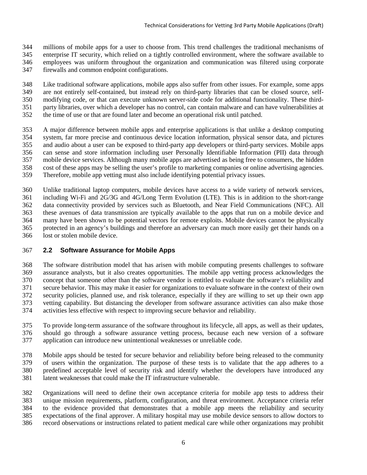millions of mobile apps for a user to choose from. This trend challenges the traditional mechanisms of

 enterprise IT security, which relied on a tightly controlled environment, where the software available to employees was uniform throughout the organization and communication was filtered using corporate

firewalls and common endpoint configurations.

 Like traditional software applications, mobile apps also suffer from other issues. For example, some apps are not entirely self-contained, but instead rely on third-party libraries that can be closed source, self- modifying code, or that can execute unknown server-side code for additional functionality. These third-party libraries, over which a developer has no control, can contain malware and can have vulnerabilities at

the time of use or that are found later and become an operational risk until patched.

 A major difference between mobile apps and enterprise applications is that unlike a desktop computing system, far more precise and continuous device location information, physical sensor data, and pictures and audio about a user can be exposed to third-party app developers or third-party services. Mobile apps can sense and store information including user Personally Identifiable Information (PII) data through mobile device services. Although many mobile apps are advertised as being free to consumers, the hidden cost of these apps may be selling the user's profile to marketing companies or online advertising agencies. Therefore, mobile app vetting must also include identifying potential privacy issues.

 Unlike traditional laptop computers, mobile devices have access to a wide variety of network services, including Wi-Fi and 2G/3G and 4G/Long Term Evolution (LTE). This is in addition to the short-range data connectivity provided by services such as Bluetooth, and Near Field Communications (NFC). All these avenues of data transmission are typically available to the apps that run on a mobile device and many have been shown to be potential vectors for remote exploits. Mobile devices cannot be physically protected in an agency's buildings and therefore an adversary can much more easily get their hands on a lost or stolen mobile device.

## <span id="page-13-0"></span>**2.2 Software Assurance for Mobile Apps**

 The software distribution model that has arisen with mobile computing presents challenges to software assurance analysts, but it also creates opportunities. The mobile app vetting process acknowledges the concept that someone other than the software vendor is entitled to evaluate the software's reliability and secure behavior. This may make it easier for organizations to evaluate software in the context of their own security policies, planned use, and risk tolerance, especially if they are willing to set up their own app vetting capability. But distancing the developer from software assurance activities can also make those activities less effective with respect to improving secure behavior and reliability.

 To provide long-term assurance of the software throughout its lifecycle, all apps, as well as their updates, should go through a software assurance vetting process, because each new version of a software application can introduce new unintentional weaknesses or unreliable code.

 Mobile apps should be tested for secure behavior and reliability before being released to the community of users within the organization. The purpose of these tests is to validate that the app adheres to a predefined acceptable level of security risk and identify whether the developers have introduced any latent weaknesses that could make the IT infrastructure vulnerable.

 Organizations will need to define their own acceptance criteria for mobile app tests to address their unique mission requirements, platform, configuration, and threat environment. Acceptance criteria refer to the evidence provided that demonstrates that a mobile app meets the reliability and security expectations of the final approver. A military hospital may use mobile device sensors to allow doctors to record observations or instructions related to patient medical care while other organizations may prohibit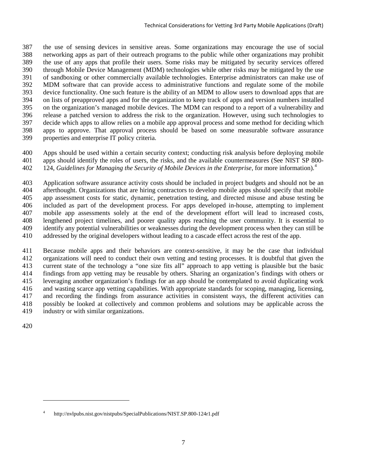the use of sensing devices in sensitive areas. Some organizations may encourage the use of social networking apps as part of their outreach programs to the public while other organizations may prohibit the use of any apps that profile their users. Some risks may be mitigated by security services offered through Mobile Device Management (MDM) technologies while other risks may be mitigated by the use of sandboxing or other commercially available technologies. Enterprise administrators can make use of MDM software that can provide access to administrative functions and regulate some of the mobile device functionality. One such feature is the ability of an MDM to allow users to download apps that are on lists of preapproved apps and for the organization to keep track of apps and version numbers installed on the organization's managed mobile devices. The MDM can respond to a report of a vulnerability and release a patched version to address the risk to the organization. However, using such technologies to decide which apps to allow relies on a mobile app approval process and some method for deciding which apps to approve. That approval process should be based on some measurable software assurance properties and enterprise IT policy criteria.

 Apps should be used within a certain security context; conducting risk analysis before deploying mobile apps should identify the roles of users, the risks, and the available countermeasures (See NIST SP 800- 124, *Guidelines for Managing the Security of Mobile Devices in the Enterprise*, for more information). [4](#page-14-0)

 Application software assurance activity costs should be included in project budgets and should not be an afterthought. Organizations that are hiring contractors to develop mobile apps should specify that mobile app assessment costs for static, dynamic, penetration testing, and directed misuse and abuse testing be included as part of the development process. For apps developed in-house, attempting to implement mobile app assessments solely at the end of the development effort will lead to increased costs, lengthened project timelines, and poorer quality apps reaching the user community. It is essential to identify any potential vulnerabilities or weaknesses during the development process when they can still be addressed by the original developers without leading to a cascade effect across the rest of the app.

 Because mobile apps and their behaviors are context-sensitive, it may be the case that individual organizations will need to conduct their own vetting and testing processes. It is doubtful that given the current state of the technology a "one size fits all" approach to app vetting is plausible but the basic findings from app vetting may be reusable by others. Sharing an organization's findings with others or leveraging another organization's findings for an app should be contemplated to avoid duplicating work and wasting scarce app vetting capabilities. With appropriate standards for scoping, managing, licensing, and recording the findings from assurance activities in consistent ways, the different activities can possibly be looked at collectively and common problems and solutions may be applicable across the industry or with similar organizations.

 $\overline{a}$ 

<span id="page-14-0"></span>http://nvlpubs.nist.gov/nistpubs/SpecialPublications/NIST.SP.800-124r1.pdf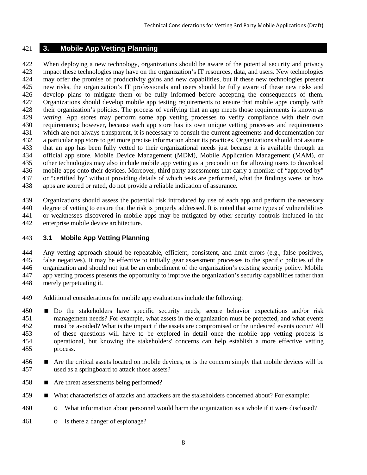## <span id="page-15-0"></span>**3. Mobile App Vetting Planning**

 When deploying a new technology, organizations should be aware of the potential security and privacy impact these technologies may have on the organization's IT resources, data, and users. New technologies may offer the promise of productivity gains and new capabilities, but if these new technologies present new risks, the organization's IT professionals and users should be fully aware of these new risks and develop plans to mitigate them or be fully informed before accepting the consequences of them. Organizations should develop mobile app testing requirements to ensure that mobile apps comply with their organization's policies. The process of verifying that an app meets those requirements is known as *vetting*. App stores may perform some app vetting processes to verify compliance with their own requirements; however, because each app store has its own unique vetting processes and requirements which are not always transparent, it is necessary to consult the current agreements and documentation for a particular app store to get more precise information about its practices. Organizations should not assume that an app has been fully vetted to their organizational needs just because it is available through an official app store. Mobile Device Management (MDM), Mobile Application Management (MAM), or other technologies may also include mobile app vetting as a precondition for allowing users to download mobile apps onto their devices. Moreover, third party assessments that carry a moniker of "approved by" or "certified by" without providing details of which tests are performed, what the findings were, or how apps are scored or rated, do not provide a reliable indication of assurance.

 Organizations should assess the potential risk introduced by use of each app and perform the necessary degree of vetting to ensure that the risk is properly addressed. It is noted that some types of vulnerabilities or weaknesses discovered in mobile apps may be mitigated by other security controls included in the enterprise mobile device architecture.

## <span id="page-15-1"></span>**3.1 Mobile App Vetting Planning**

 Any vetting approach should be repeatable, efficient, consistent, and limit errors (e.g., false positives, false negatives). It may be effective to initially gear assessment processes to the specific policies of the organization and should not just be an embodiment of the organization's existing security policy. Mobile app vetting process presents the opportunity to improve the organization's security capabilities rather than merely perpetuating it.

- Additional considerations for mobile app evaluations include the following:
- Do the stakeholders have specific security needs, secure behavior expectations and/or risk management needs? For example, what assets in the organization must be protected, and what events must be avoided? What is the impact if the assets are compromised or the undesired events occur? All of these questions will have to be explored in detail once the mobile app vetting process is operational, but knowing the stakeholders' concerns can help establish a more effective vetting process.
- **Are the critical assets located on mobile devices, or is the concern simply that mobile devices will be** used as a springboard to attack those assets?
- 458 Are threat assessments being performed?
- What characteristics of attacks and attackers are the stakeholders concerned about? For example:
- o What information about personnel would harm the organization as a whole if it were disclosed?
- o Is there a danger of espionage?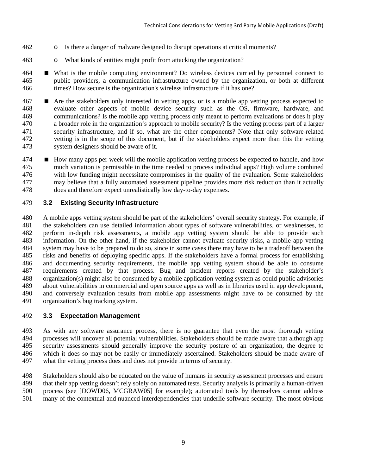- o Is there a danger of malware designed to disrupt operations at critical moments?
- o What kinds of entities might profit from attacking the organization?

 What is the mobile computing environment? Do wireless devices carried by personnel connect to public providers, a communication infrastructure owned by the organization, or both at different times? How secure is the organization's wireless infrastructure if it has one?

 Are the stakeholders only interested in vetting apps, or is a mobile app vetting process expected to evaluate other aspects of mobile device security such as the OS, firmware, hardware, and communications? Is the mobile app vetting process only meant to perform evaluations or does it play a broader role in the organization's approach to mobile security? Is the vetting process part of a larger security infrastructure, and if so, what are the other components? Note that only software-related vetting is in the scope of this document, but if the stakeholders expect more than this the vetting system designers should be aware of it.

**How many apps per week will the mobile application vetting process be expected to handle, and how**  much variation is permissible in the time needed to process individual apps? High volume combined with low funding might necessitate compromises in the quality of the evaluation. Some stakeholders may believe that a fully automated assessment pipeline provides more risk reduction than it actually does and therefore expect unrealistically low day-to-day expenses.

## <span id="page-16-0"></span>**3.2 Existing Security Infrastructure**

 A mobile apps vetting system should be part of the stakeholders' overall security strategy. For example, if the stakeholders can use detailed information about types of software vulnerabilities, or weaknesses, to perform in-depth risk assessments, a mobile app vetting system should be able to provide such information. On the other hand, if the stakeholder cannot evaluate security risks, a mobile app vetting system may have to be prepared to do so, since in some cases there may have to be a tradeoff between the risks and benefits of deploying specific apps. If the stakeholders have a formal process for establishing and documenting security requirements, the mobile app vetting system should be able to consume requirements created by that process. Bug and incident reports created by the stakeholder's organization(s) might also be consumed by a mobile application vetting system as could public advisories about vulnerabilities in commercial and open source apps as well as in libraries used in app development, and conversely evaluation results from mobile app assessments might have to be consumed by the organization's bug tracking system.

## <span id="page-16-1"></span>**3.3 Expectation Management**

 As with any software assurance process, there is no guarantee that even the most thorough vetting processes will uncover all potential vulnerabilities. Stakeholders should be made aware that although app security assessments should generally improve the security posture of an organization, the degree to which it does so may not be easily or immediately ascertained. Stakeholders should be made aware of what the vetting process does and does not provide in terms of security.

Stakeholders should also be educated on the value of humans in security assessment processes and ensure

that their app vetting doesn't rely solely on automated tests. Security analysis is primarily a human-driven

 process (see [DOWD06, MCGRAW05] for example); automated tools by themselves cannot address many of the contextual and nuanced interdependencies that underlie software security. The most obvious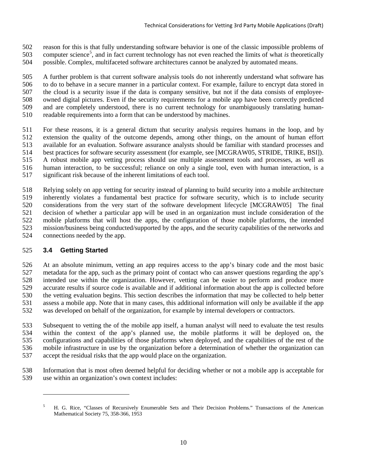- reason for this is that fully understanding software behavior is one of the classic impossible problems of
- 03 computer science<sup>5</sup>, and in fact current technology has not even reached the limits of what *is* theoretically
- possible. Complex, multifaceted software architectures cannot be analyzed by automated means.

 A further problem is that current software analysis tools do not inherently understand what software has to do to behave in a secure manner in a particular context. For example, failure to encrypt data stored in the cloud is a security issue if the data is company sensitive, but not if the data consists of employee- owned digital pictures. Even if the security requirements for a mobile app have been correctly predicted and are completely understood, there is no current technology for unambiguously translating human-readable requirements into a form that can be understood by machines.

- For these reasons, it is a general dictum that security analysis requires humans in the loop, and by extension the quality of the outcome depends, among other things, on the amount of human effort available for an evaluation. Software assurance analysts should be familiar with standard processes and best practices for software security assessment (for example, see [MCGRAW05, STRIDE, TRIKE, BSI]). A robust mobile app vetting process should use multiple assessment tools and processes, as well as human interaction, to be successful; reliance on only a single tool, even with human interaction, is a significant risk because of the inherent limitations of each tool.
- Relying solely on app vetting for security instead of planning to build security into a mobile architecture inherently violates a fundamental best practice for software security, which is to include security considerations from the very start of the software development lifecycle [MCGRAW05] The final decision of whether a particular app will be used in an organization must include consideration of the mobile platforms that will host the apps, the configuration of those mobile platforms, the intended mission/business being conducted/supported by the apps, and the security capabilities of the networks and connections needed by the app.

## <span id="page-17-0"></span>**3.4 Getting Started**

 $\overline{a}$ 

 At an absolute minimum, vetting an app requires access to the app's binary code and the most basic metadata for the app, such as the primary point of contact who can answer questions regarding the app's intended use within the organization. However, vetting can be easier to perform and produce more accurate results if source code is available and if additional information about the app is collected before the vetting evaluation begins. This section describes the information that may be collected to help better assess a mobile app. Note that in many cases, this additional information will only be available if the app was developed on behalf of the organization, for example by internal developers or contractors.

 Subsequent to vetting the of the mobile app itself, a human analyst will need to evaluate the test results within the context of the app's planned use, the mobile platforms it will be deployed on, the configurations and capabilities of those platforms when deployed, and the capabilities of the rest of the mobile infrastructure in use by the organization before a determination of whether the organization can accept the residual risks that the app would place on the organization.

 Information that is most often deemed helpful for deciding whether or not a mobile app is acceptable for use within an organization's own context includes:

<span id="page-17-1"></span> H. G. Rice, "Classes of Recursively Enumerable Sets and Their Decision Problems." Transactions of the American Mathematical Society 75, 358-366, 1953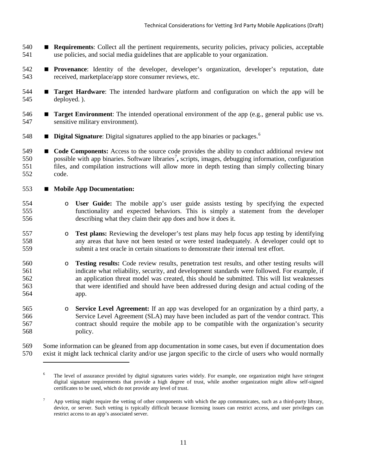- **Requirements**: Collect all the pertinent requirements, security policies, privacy policies, acceptable use policies, and social media guidelines that are applicable to your organization.
- **Provenance**: Identity of the developer, developer's organization, developer's reputation, date received, marketplace/app store consumer reviews, etc.
- **Target Hardware**: The intended hardware platform and configuration on which the app will be deployed. ).
- **Target Environment**: The intended operational environment of the app (e.g., general public use vs. sensitive military environment).
- **Digital Signature**: Digital signatures applied to the app binaries or packages.<sup>[6](#page-18-0)</sup>
- **Code Components:** Access to the source code provides the ability to conduct additional review not 550 possible with app binaries. Software libraries<sup>[7](#page-18-1)</sup>, scripts, images, debugging information, configuration files, and compilation instructions will allow more in depth testing than simply collecting binary code.
- **Mobile App Documentation:**

 $\overline{a}$ 

- o **User Guide:** The mobile app's user guide assists testing by specifying the expected functionality and expected behaviors. This is simply a statement from the developer describing what they claim their app does and how it does it.
- **b Test plans:** Reviewing the developer's test plans may help focus app testing by identifying any areas that have not been tested or were tested inadequately. A developer could opt to any areas that have not been tested or were tested inadequately. A developer could opt to submit a test oracle in certain situations to demonstrate their internal test effort.
- 560 **Testing results:** Code review results, penetration test results, and other testing results will<br>561 online indicate what reliability, security, and development standards were followed. For example, if indicate what reliability, security, and development standards were followed. For example, if an application threat model was created, this should be submitted. This will list weaknesses that were identified and should have been addressed during design and actual coding of the app.
- **Service Level Agreement:** If an app was developed for an organization by a third party, a Service Level Agreement (SLA) may have been included as part of the vendor contract. This Service Level Agreement (SLA) may have been included as part of the vendor contract. This contract should require the mobile app to be compatible with the organization's security policy.
- <span id="page-18-0"></span> Some information can be gleaned from app documentation in some cases, but even if documentation does exist it might lack technical clarity and/or use jargon specific to the circle of users who would normally

 The level of assurance provided by digital signatures varies widely. For example, one organization might have stringent digital signature requirements that provide a high degree of trust, while another organization might allow self-signed certificates to be used, which do not provide any level of trust.

<span id="page-18-1"></span><sup>&</sup>lt;sup>7</sup> App vetting might require the vetting of other components with which the app communicates, such as a third-party library, device, or server. Such vetting is typically difficult because licensing issues can restrict access, and user privileges can restrict access to an app's associated server.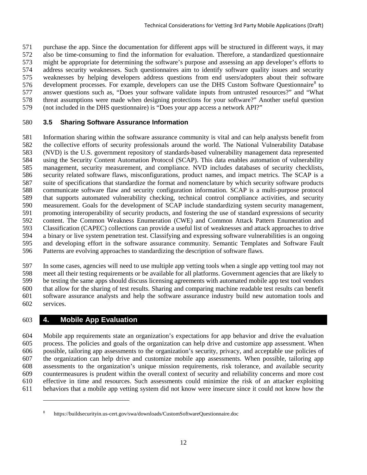purchase the app. Since the documentation for different apps will be structured in different ways, it may also be time-consuming to find the information for evaluation. Therefore, a standardized questionnaire might be appropriate for determining the software's purpose and assessing an app developer's efforts to address security weaknesses. Such questionnaires aim to identify software quality issues and security weaknesses by helping developers address questions from end users/adopters about their software 576 development processes. For example, developers can use the DHS Custom Software Questionnaire<sup>[8](#page-19-2)</sup> to answer questions such as, "Does your software validate inputs from untrusted resources?" and "What threat assumptions were made when designing protections for your software?" Another useful question (not included in the DHS questionnaire) is "Does your app access a network API?"

## <span id="page-19-0"></span>**3.5 Sharing Software Assurance Information**

 Information sharing within the software assurance community is vital and can help analysts benefit from the collective efforts of security professionals around the world. The National Vulnerability Database (NVD) is the U.S. government repository of standards-based vulnerability management data represented using the Security Content Automation Protocol (SCAP). This data enables automation of vulnerability management, security measurement, and compliance. NVD includes databases of security checklists, security related software flaws, misconfigurations, product names, and impact metrics. The SCAP is a suite of specifications that standardize the format and nomenclature by which security software products communicate software flaw and security configuration information. SCAP is a multi-purpose protocol that supports automated vulnerability checking, technical control compliance activities, and security measurement. Goals for the development of SCAP include standardizing system security management, promoting interoperability of security products, and fostering the use of standard expressions of security content. The Common Weakness Enumeration (CWE) and Common Attack Pattern Enumeration and Classification (CAPEC) collections can provide a useful list of weaknesses and attack approaches to drive a binary or live system penetration test. Classifying and expressing software vulnerabilities is an ongoing and developing effort in the software assurance community. Semantic Templates and Software Fault Patterns are evolving approaches to standardizing the description of software flaws.

 In some cases, agencies will need to use multiple app vetting tools when a single app vetting tool may not meet all their testing requirements or be available for all platforms. Government agencies that are likely to be testing the same apps should discuss licensing agreements with automated mobile app test tool vendors that allow for the sharing of test results. Sharing and comparing machine readable test results can benefit software assurance analysts and help the software assurance industry build new automation tools and services.

## <span id="page-19-1"></span>**4. Mobile App Evaluation**

 $\overline{a}$ 

 Mobile app requirements state an organization's expectations for app behavior and drive the evaluation process. The policies and goals of the organization can help drive and customize app assessment. When possible, tailoring app assessments to the organization's security, privacy, and acceptable use policies of the organization can help drive and customize mobile app assessments. When possible, tailoring app assessments to the organization's unique mission requirements, risk tolerance, and available security countermeasures is prudent within the overall context of security and reliability concerns and more cost effective in time and resources. Such assessments could minimize the risk of an attacker exploiting behaviors that a mobile app vetting system did not know were insecure since it could not know how the

<span id="page-19-2"></span>https://buildsecurityin.us-cert.gov/swa/downloads/CustomSoftwareQuestionnaire.doc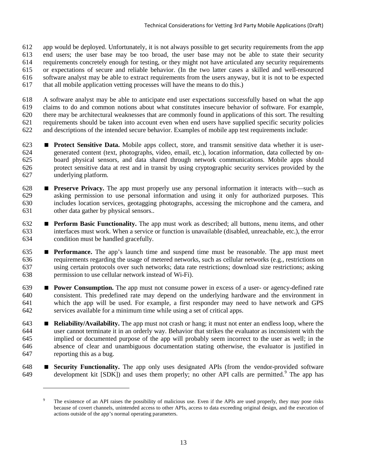app would be deployed. Unfortunately, it is not always possible to get security requirements from the app end users; the user base may be too broad, the user base may not be able to state their security requirements concretely enough for testing, or they might not have articulated any security requirements or expectations of secure and reliable behavior. (In the two latter cases a skilled and well-resourced software analyst may be able to extract requirements from the users anyway, but it is not to be expected that all mobile application vetting processes will have the means to do this.)

 A software analyst may be able to anticipate end user expectations successfully based on what the app claims to do and common notions about what constitutes insecure behavior of software. For example, there may be architectural weaknesses that are commonly found in applications of this sort. The resulting requirements should be taken into account even when end users have supplied specific security policies and descriptions of the intended secure behavior. Examples of mobile app test requirements include:

- **Protect Sensitive Data.** Mobile apps collect, store, and transmit sensitive data whether it is user- generated content (text, photographs, video, email, etc.), location information, data collected by on- board physical sensors, and data shared through network communications. Mobile apps should protect sensitive data at rest and in transit by using cryptographic security services provided by the underlying platform.
- **Preserve Privacy.** The app must properly use any personal information it interacts with—such as asking permission to use personal information and using it only for authorized purposes. This includes location services, geotagging photographs, accessing the microphone and the camera, and other data gather by physical sensors..
- **Perform Basic Functionality.** The app must work as described; all buttons, menu items, and other interfaces must work. When a service or function is unavailable (disabled, unreachable, etc.), the error condition must be handled gracefully.
- **Performance.** The app's launch time and suspend time must be reasonable. The app must meet requirements regarding the usage of metered networks, such as cellular networks (e.g., restrictions on using certain protocols over such networks; data rate restrictions; download size restrictions; asking permission to use cellular network instead of Wi-Fi).
- **Power Consumption.** The app must not consume power in excess of a user- or agency-defined rate consistent. This predefined rate may depend on the underlying hardware and the environment in which the app will be used. For example, a first responder may need to have network and GPS services available for a minimum time while using a set of critical apps.
- **Reliability/Availability.** The app must not crash or hang; it must not enter an endless loop, where the user cannot terminate it in an orderly way. Behavior that strikes the evaluator as inconsistent with the implied or documented purpose of the app will probably seem incorrect to the user as well; in the absence of clear and unambiguous documentation stating otherwise, the evaluator is justified in reporting this as a bug.
- <span id="page-20-0"></span> **Security Functionality.** The app only uses designated APIs (from the vendor-provided software development kit  $[SDK]$  and uses them properly; no other API calls are permitted.<sup>[9](#page-20-0)</sup> The app has

 $\overline{a}$ 

<sup>&</sup>lt;sup>9</sup> The existence of an API raises the possibility of malicious use. Even if the APIs are used properly, they may pose risks because of covert channels, unintended access to other APIs, access to data exceeding original design, and the execution of actions outside of the app's normal operating parameters.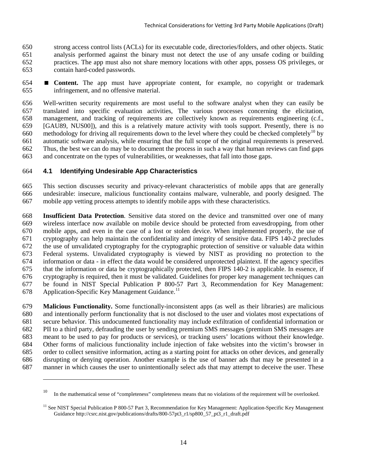strong access control lists (ACLs) for its executable code, directories/folders, and other objects. Static analysis performed against the binary must not detect the use of any unsafe coding or building practices. The app must also not share memory locations with other apps, possess OS privileges, or contain hard-coded passwords.

 **Content.** The app must have appropriate content, for example, no copyright or trademark infringement, and no offensive material.

 Well-written security requirements are most useful to the software analyst when they can easily be translated into specific evaluation activities, The various processes concerning the elicitation, management, and tracking of requirements are collectively known as requirements engineering (c.f., [GAU89, NUS00]), and this is a relatively mature activity with tools support. Presently, there is no 660 methodology for driving all requirements down to the level where they could be checked completely<sup>[10](#page-21-1)</sup> by automatic software analysis, while ensuring that the full scope of the original requirements is preserved. Thus, the best we can do may be to document the process in such a way that human reviews can find gaps and concentrate on the types of vulnerabilities, or weaknesses, that fall into those gaps.

## <span id="page-21-0"></span>**4.1 Identifying Undesirable App Characteristics**

 $\overline{a}$ 

 This section discusses security and privacy-relevant characteristics of mobile apps that are generally undesirable: insecure, malicious functionality contains malware, vulnerable, and poorly designed. The mobile app vetting process attempts to identify mobile apps with these characteristics.

 **Insufficient Data Protection**. Sensitive data stored on the device and transmitted over one of many wireless interface now available on mobile device should be protected from eavesdropping, from other mobile apps, and even in the case of a lost or stolen device. When implemented properly, the use of cryptography can help maintain the confidentiality and integrity of sensitive data. FIPS 140-2 precludes the use of unvalidated cryptography for the cryptographic protection of sensitive or valuable data within Federal systems. Unvalidated cryptography is viewed by NIST as providing no protection to the information or data - in effect the data would be considered unprotected plaintext. If the agency specifies that the information or data be cryptographically protected, then FIPS 140-2 is applicable. In essence, if cryptography is required, then it must be validated. Guidelines for proper key management techniques can be found in NIST Special Publication P 800-57 Part 3, Recommendation for Key Management: 678 Application-Specific Key Management Guidance.<sup>[11](#page-21-2)</sup>

 **Malicious Functionality.** Some functionally-inconsistent apps (as well as their libraries) are malicious and intentionally perform functionality that is not disclosed to the user and violates most expectations of secure behavior. This undocumented functionality may include exfiltration of confidential information or PII to a third party, defrauding the user by sending premium SMS messages (premium SMS messages are meant to be used to pay for products or services), or tracking users' locations without their knowledge. Other forms of malicious functionality include injection of fake websites into the victim's browser in order to collect sensitive information, acting as a starting point for attacks on other devices, and generally disrupting or denying operation. Another example is the use of banner ads that may be presented in a manner in which causes the user to unintentionally select ads that may attempt to deceive the user. These

<span id="page-21-1"></span><sup>&</sup>lt;sup>10</sup> In the mathematical sense of "completeness" completeness means that no violations of the requirement will be overlooked.

<span id="page-21-2"></span> $<sup>11</sup>$  See NIST Special Publication P 800-57 Part 3, Recommendation for Key Management: Application-Specific Key Management</sup> Guidance http://csrc.nist.gov/publications/drafts/800-57pt3\_r1/sp800\_57\_pt3\_r1\_draft.pdf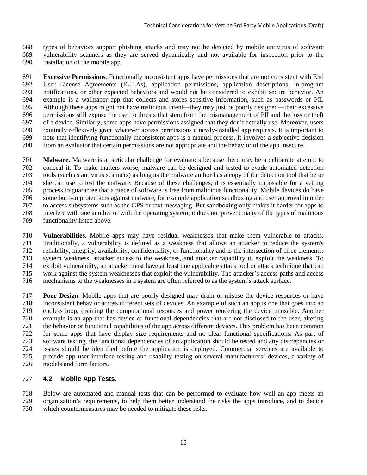types of behaviors support phishing attacks and may not be detected by mobile antivirus of software vulnerability scanners as they are served dynamically and not available for inspection prior to the installation of the mobile app.

 **Excessive Permissions**. Functionally inconsistent apps have permissions that are not consistent with End User License Agreements (EULAs), application permissions, application descriptions, in-program notifications, or other expected behaviors and would not be considered to exhibit secure behavior. An example is a wallpaper app that collects and stores sensitive information, such as passwords or PII. Although these apps might not have malicious intent—they may just be poorly designed—their excessive permissions still expose the user to threats that stem from the mismanagement of PII and the loss or theft of a device. Similarly, some apps have permissions assigned that they don't actually use. Moreover, users routinely reflexively grant whatever access permissions a newly-installed app requests. It is important to note that identifying functionally inconsistent apps is a manual process. It involves a subjective decision from an evaluator that certain permissions are not appropriate and the behavior of the app insecure.

 **Malware**. Malware is a particular challenge for evaluators because there may be a deliberate attempt to conceal it. To make matters worse, malware can be designed and tested to evade automated detection tools (such as antivirus scanners) as long as the malware author has a copy of the detection tool that he or she can use to test the malware. Because of these challenges, it is essentially impossible for a vetting process to guarantee that a piece of software is free from malicious functionality. Mobile devices do have some built-in protections against malware, for example application sandboxing and user approval in order to access subsystems such as the GPS or text messaging. But sandboxing only makes it harder for apps to interfere with one another or with the operating system; it does not prevent many of the types of malicious functionality listed above.

 **Vulnerabilities**. Mobile apps may have residual weaknesses that make them vulnerable to attacks. Traditionally, a vulnerability is defined as a weakness that allows an attacker to reduce the system's reliability, integrity, availability, confidentiality, or functionality and is the intersection of three elements: system weakness, attacker access to the weakness, and attacker capability to exploit the weakness. To exploit vulnerability, an attacker must have at least one applicable attack tool or attack technique that can work against the system weaknesses that exploit the vulnerability. The attacker's access paths and access mechanisms to the weaknesses in a system are often referred to as the system's attack surface.

 **Poor Design**. Mobile apps that are poorly designed may drain or misuse the device resources or have inconsistent behavior across different sets of devices. An example of such an app is one that goes into an endless loop, draining the computational resources and power rendering the device unusable. Another example is an app that has device or functional dependencies that are not disclosed to the user, altering the behavior or functional capabilities of the app across different devices. This problem has been common for some apps that have display size requirements and no clear functional specifications. As part of software testing, the functional dependencies of an application should be tested and any discrepancies or issues should be identified before the application is deployed. Commercial services are available to provide app user interface testing and usability testing on several manufacturers' devices, a variety of models and form factors.

## <span id="page-22-0"></span>**4.2 Mobile App Tests.**

 Below are automated and manual tests that can be performed to evaluate how well an app meets an organization's requirements, to help them better understand the risks the apps introduce, and to decide which countermeasures may be needed to mitigate these risks.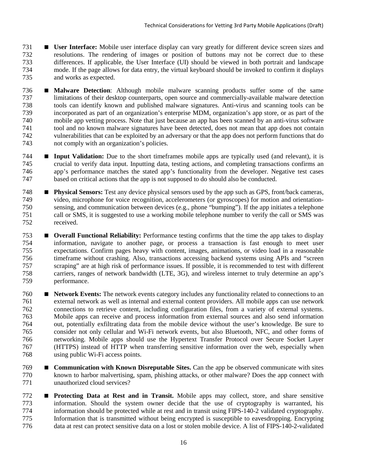- **User Interface:** Mobile user interface display can vary greatly for different device screen sizes and resolutions. The rendering of images or position of buttons may not be correct due to these differences. If applicable, the User Interface (UI) should be viewed in both portrait and landscape mode. If the page allows for data entry, the virtual keyboard should be invoked to confirm it displays and works as expected.
- **Malware Detection**: Although mobile malware scanning products suffer some of the same limitations of their desktop counterparts, open source and commercially-available malware detection tools can identify known and published malware signatures. Anti-virus and scanning tools can be incorporated as part of an organization's enterprise MDM, organization's app store, or as part of the mobile app vetting process. Note that just because an app has been scanned by an anti-virus software tool and no known malware signatures have been detected, does not mean that app does not contain vulnerabilities that can be exploited by an adversary or that the app does not perform functions that do not comply with an organization's policies.
- **Input Validation:** Due to the short timeframes mobile apps are typically used (and relevant), it is crucial to verify data input. Inputting data, testing actions, and completing transactions confirms an app's performance matches the stated app's functionality from the developer. Negative test cases based on critical actions that the app is not supposed to do should also be conducted.
- **Physical Sensors:** Test any device physical sensors used by the app such as GPS, front/back cameras, video, microphone for voice recognition, accelerometers (or gyroscopes) for motion and orientation- sensing, and communication between devices (e.g., phone "bumping"). If the app initiates a telephone call or SMS, it is suggested to use a working mobile telephone number to verify the call or SMS was received.
- **Overall Functional Reliability:** Performance testing confirms that the time the app takes to display information, navigate to another page, or process a transaction is fast enough to meet user expectations. Confirm pages heavy with content, images, animations, or video load in a reasonable timeframe without crashing. Also, transactions accessing backend systems using APIs and "screen scraping" are at high risk of performance issues. If possible, it is recommended to test with different carriers, ranges of network bandwidth (LTE, 3G), and wireless internet to truly determine an app's performance.
- **Network Events:** The network events category includes any functionality related to connections to an external network as well as internal and external content providers. All mobile apps can use network connections to retrieve content, including configuration files, from a variety of external systems. Mobile apps can receive and process information from external sources and also send information out, potentially exfiltrating data from the mobile device without the user's knowledge. Be sure to consider not only cellular and Wi-Fi network events, but also Bluetooth, NFC, and other forms of networking. Mobile apps should use the Hypertext Transfer Protocol over Secure Socket Layer (HTTPS) instead of HTTP when transferring sensitive information over the web, especially when using public Wi-Fi access points.
- **Communication with Known Disreputable Sites.** Can the app be observed communicate with sites known to harbor malvertising, spam, phishing attacks, or other malware? Does the app connect with unauthorized cloud services?
- **Protecting Data at Rest and in Transit.** Mobile apps may collect, store, and share sensitive information. Should the system owner decide that the use of cryptography is warranted, his information. Should the system owner decide that the use of cryptography is warranted, his information should be protected while at rest and in transit using FIPS-140-2 validated cryptography. Information that is transmitted without being encrypted is susceptible to eavesdropping. Encrypting data at rest can protect sensitive data on a lost or stolen mobile device. A list of FIPS-140-2-validated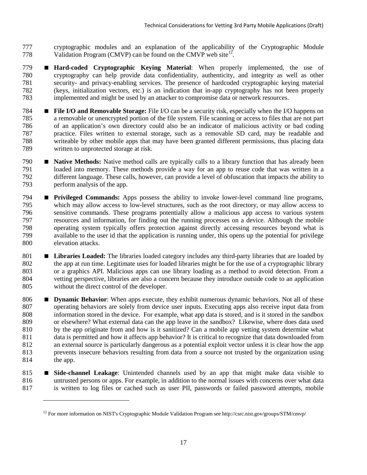- cryptographic modules and an explanation of the applicability of the Cryptographic Module 778 Validation Program (CMVP) can be found on the CMVP web site<sup>[12](#page-24-0)</sup>.
- **Hard-coded Cryptographic Keying Material**: When properly implemented, the use of cryptography can help provide data confidentiality, authenticity, and integrity as well as other security- and privacy-enabling services. The presence of hardcoded cryptographic keying material (keys, initialization vectors, etc.) is an indication that in-app cryptography has not been properly implemented and might be used by an attacker to compromise data or network resources.
- **File I/O and Removable Storage:** File I/O can be a security risk, especially when the I/O happens on a removable or unencrypted portion of the file system. File scanning or access to files that are not part of an application's own directory could also be an indicator of malicious activity or bad coding practice. Files written to external storage, such as a removable SD card, may be readable and writeable by other mobile apps that may have been granted different permissions, thus placing data written to unprotected storage at risk.
- **Native Methods:** Native method calls are typically calls to a library function that has already been loaded into memory. These methods provide a way for an app to reuse code that was written in a different language. These calls, however, can provide a level of obfuscation that impacts the ability to perform analysis of the app.
- **Privileged Commands:** Apps possess the ability to invoke lower-level command line programs, which may allow access to low-level structures, such as the root directory, or may allow access to sensitive commands. These programs potentially allow a malicious app access to various system resources and information, for finding out the running processes on a device. Although the mobile operating system typically offers protection against directly accessing resources beyond what is available to the user id that the application is running under, this opens up the potential for privilege elevation attacks.
- **Libraries Loaded:** The libraries loaded category includes any third-party libraries that are loaded by the app at run time. Legitimate uses for loaded libraries might be for the use of a cryptographic library or a graphics API. Malicious apps can use library loading as a method to avoid detection. From a vetting perspective, libraries are also a concern because they introduce outside code to an application without the direct control of the developer.
- **Dynamic Behavior**: When apps execute, they exhibit numerous dynamic behaviors. Not all of these operating behaviors are solely from device user inputs. Executing apps also receive input data from information stored in the device. For example, what app data is stored, and is it stored in the sandbox or elsewhere? What external data can the app leave in the sandbox? Likewise, where does data used 810 by the app originate from and how is it sanitized? Can a mobile app vetting system determine what data is permitted and how it affects app behavior? It is critical to recognize that data downloaded from an external source is particularly dangerous as a potential exploit vector unless it is clear how the app prevents insecure behaviors resulting from data from a source not trusted by the organization using 814 the app.
- **Side-channel Leakage**: Unintended channels used by an app that might make data visible to untrusted persons or apps. For example, in addition to the normal issues with concerns over what data is written to log files or cached such as user PII, passwords or failed password attempts, mobile

 $\overline{a}$ 

<span id="page-24-0"></span>For more information on NIST's Cryptographic Module Validation Program see http://csrc.nist.gov/groups/STM/cmvp/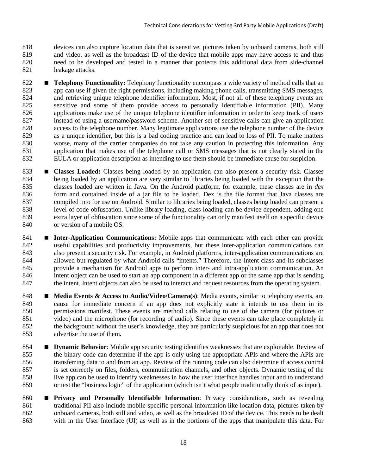devices can also capture location data that is sensitive, pictures taken by onboard cameras, both still and video, as well as the broadcast ID of the device that mobile apps may have access to and thus need to be developed and tested in a manner that protects this additional data from side-channel leakage attacks.

- **Telephony Functionality:** Telephony functionality encompass a wide variety of method calls that an app can use if given the right permissions, including making phone calls, transmitting SMS messages, and retrieving unique telephone identifier information. Most, if not all of these telephony events are sensitive and some of them provide access to personally identifiable information (PII). Many applications make use of the unique telephone identifier information in order to keep track of users instead of using a username/password scheme. Another set of sensitive calls can give an application access to the telephone number. Many legitimate applications use the telephone number of the device as a unique identifier, but this is a bad coding practice and can lead to loss of PII. To make matters worse, many of the carrier companies do not take any caution in protecting this information. Any application that makes use of the telephone call or SMS messages that is not clearly stated in the EULA or application description as intending to use them should be immediate cause for suspicion.
- **Classes Loaded:** Classes being loaded by an application can also present a security risk. Classes being loaded by an application are very similar to libraries being loaded with the exception that the classes loaded are written in Java. On the Android platform, for example, these classes are in *dex* 836 form and contained inside of a jar file to be loaded. Dex is the file format that Java classes are compiled into for use on Android. Similar to libraries being loaded, classes being loaded can present a level of code obfuscation. Unlike library loading, class loading can be device dependent, adding one extra layer of obfuscation since some of the functionality can only manifest itself on a specific device or version of a mobile OS.
- **Inter-Application Communications:** Mobile apps that communicate with each other can provide useful capabilities and productivity improvements, but these inter-application communications can also present a security risk. For example, in Android platforms, inter-application communications are 844 allowed but regulated by what Android calls "intents." Therefore, the Intent class and its subclasses provide a mechanism for Android apps to perform inter- and intra-application communication. An intent object can be used to start an app component in a different app or the same app that is sending 847 the intent. Intent objects can also be used to interact and request resources from the operating system.
- **•• Media Events & Access to Audio/Video/Camera(s)**: Media events, similar to telephony events, are cause for immediate concern if an app does not explicitly state it intends to use them in its permissions manifest. These events are method calls relating to use of the camera (for pictures or video) and the microphone (for recording of audio). Since these events can take place completely in the background without the user's knowledge, they are particularly suspicious for an app that does not advertise the use of them.
- **Dynamic Behavior**: Mobile app security testing identifies weaknesses that are exploitable. Review of the binary code can determine if the app is only using the appropriate APIs and where the APIs are transferring data to and from an app. Review of the running code can also determine if access control is set correctly on files, folders, communication channels, and other objects. Dynamic testing of the live app can be used to identify weaknesses in how the user interface handles input and to understand or test the "business logic" of the application (which isn't what people traditionally think of as input).
- **Privacy and Personally Identifiable Information**: Privacy considerations, such as revealing traditional PII also include mobile-specific personal information like location data, pictures taken by onboard cameras, both still and video, as well as the broadcast ID of the device. This needs to be dealt with in the User Interface (UI) as well as in the portions of the apps that manipulate this data. For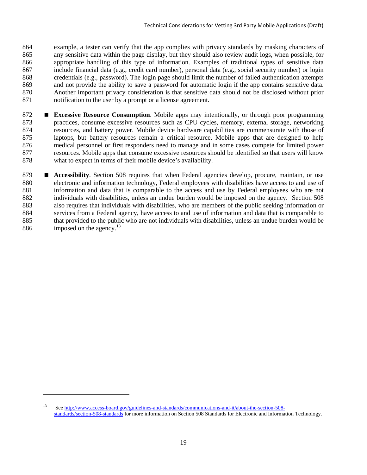example, a tester can verify that the app complies with privacy standards by masking characters of any sensitive data within the page display, but they should also review audit logs, when possible, for appropriate handling of this type of information. Examples of traditional types of sensitive data include financial data (e.g., credit card number), personal data (e.g., social security number) or login credentials (e.g., password). The login page should limit the number of failed authentication attempts and not provide the ability to save a password for automatic login if the app contains sensitive data. Another important privacy consideration is that sensitive data should not be disclosed without prior notification to the user by a prompt or a license agreement.

- **Excessive Resource Consumption**. Mobile apps may intentionally, or through poor programming practices, consume excessive resources such as CPU cycles, memory, external storage, networking resources, and battery power. Mobile device hardware capabilities are commensurate with those of laptops, but battery resources remain a critical resource. Mobile apps that are designed to help medical personnel or first responders need to manage and in some cases compete for limited power resources. Mobile apps that consume excessive resources should be identified so that users will know what to expect in terms of their mobile device's availability.
- **Accessibility**. Section 508 requires that when Federal agencies develop, procure, maintain, or use electronic and information technology, Federal employees with disabilities have access to and use of information and data that is comparable to the access and use by Federal employees who are not individuals with disabilities, unless an undue burden would be imposed on the agency. Section 508 also requires that individuals with disabilities, who are members of the public seeking information or services from a Federal agency, have access to and use of information and data that is comparable to that provided to the public who are not individuals with disabilities, unless an undue burden would be 886 imposed on the agency.<sup>[13](#page-26-0)</sup>

 $\overline{a}$ 

<span id="page-26-0"></span> Se[e http://www.access-board.gov/guidelines-and-standards/communications-and-it/about-the-section-508](http://www.access-board.gov/guidelines-and-standards/communications-and-it/about-the-section-508-standards/section-508-standards) [standards/section-508-standards](http://www.access-board.gov/guidelines-and-standards/communications-and-it/about-the-section-508-standards/section-508-standards) for more information on Section 508 Standards for Electronic and Information Technology.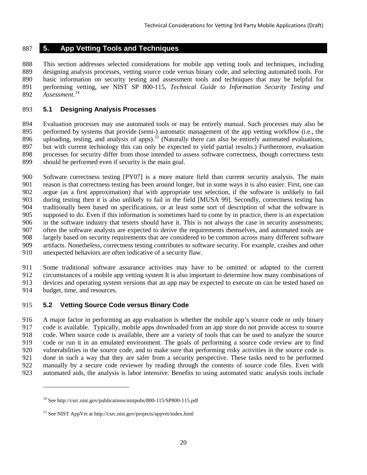## <span id="page-27-0"></span>**5. App Vetting Tools and Techniques**

 This section addresses selected considerations for mobile app vetting tools and techniques, including designing analysis processes, vetting source code versus binary code, and selecting automated tools. For basic information on security testing and assessment tools and techniques that may be helpful for performing vetting, see NIST SP 800-115, *Technical Guide to Information Security Testing and*  892 Assessment.<sup>[14](#page-27-3)</sup>

#### <span id="page-27-1"></span>**5.1 Designing Analysis Processes**

 Evaluation processes may use automated tools or may be entirely manual. Such processes may also be 895 performed by systems that provide (semi-) automatic management of the app vetting workflow (i.e., the 896 uploading, testing, and analysis of apps).<sup>[15](#page-27-4)</sup> (Naturally there can also be entirely automated evaluations, but with current technology this can only be expected to yield partial results.) Furthermore, evaluation processes for security differ from those intended to assess software correctness, though correctness tests should be performed even if security is the main goal.

 Software correctness testing [PY07] is a more mature field than current security analysis. The main reason is that correctness testing has been around longer, but in some ways it is also easier. First, one can argue (as a first approximation) that with appropriate test selection, if the software is unlikely to fail during testing then it is also unlikely to fail in the field [MUSA 99]. Secondly, correctness testing has traditionally been based on specifications, or at least some sort of description of what the software is supposed to do. Even if this information is sometimes hard to come by in practice, there is an expectation in the software industry that testers should have it. This is not always the case in security assessments; often the software analysts are expected to derive the requirements themselves, and automated tools are largely based on security requirements that are considered to be common across many different software artifacts. Nonetheless, correctness testing contributes to software security. For example, crashes and other unexpected behaviors are often indicative of a security flaw.

 Some traditional software assurance activities may have to be omitted or adapted to the current circumstances of a mobile app vetting system It is also important to determine how many combinations of devices and operating system versions that an app may be expected to execute on can be tested based on budget, time, and resources.

## <span id="page-27-2"></span>**5.2 Vetting Source Code versus Binary Code**

 $\overline{a}$ 

 A major factor in performing an app evaluation is whether the mobile app's source code or only binary code is available. Typically, mobile apps downloaded from an app store do not provide access to source code. When source code is available, there are a variety of tools that can be used to analyze the source code or run it in an emulated environment. The goals of performing a source code review are to find vulnerabilities in the source code, and to make sure that performing risky activities in the source code is done in such a way that they are safer from a security perspective. These tasks need to be performed manually by a secure code reviewer by reading through the contents of source code files. Even with automated aids, the analysis is labor intensive. Benefits to using automated static analysis tools include

<span id="page-27-3"></span><sup>&</sup>lt;sup>14</sup> See http://csrc.nist.gov/publications/nistpubs/800-115/SP800-115.pdf

<span id="page-27-4"></span>See NIST AppVet at http://csrc.nist.gov/projects/appvet/index.html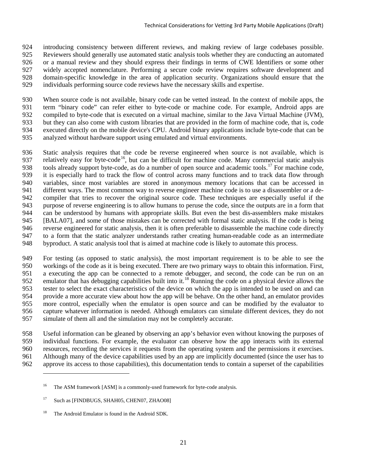introducing consistency between different reviews, and making review of large codebases possible. Reviewers should generally use automated static analysis tools whether they are conducting an automated or a manual review and they should express their findings in terms of CWE Identifiers or some other widely accepted nomenclature. Performing a secure code review requires software development and domain-specific knowledge in the area of application security. Organizations should ensure that the individuals performing source code reviews have the necessary skills and expertise.

 When source code is not available, binary code can be vetted instead. In the context of mobile apps, the term "binary code" can refer either to byte-code or machine code. For example, Android apps are compiled to byte-code that is executed on a virtual machine, similar to the Java Virtual Machine (JVM), but they can also come with custom libraries that are provided in the form of machine code, that is, code executed directly on the mobile device's CPU. Android binary applications include byte-code that can be analyzed without hardware support using emulated and virtual environments.

 Static analysis requires that the code be reverse engineered when source is not available, which is 937 relatively easy for byte-code<sup>[16](#page-28-0)</sup>, but can be difficult for machine code. Many commercial static analysis tools already support byte-code, as do a number of open source and academic tools.<sup>[17](#page-28-1)</sup> For machine code, it is especially hard to track the flow of control across many functions and to track data flow through variables, since most variables are stored in anonymous memory locations that can be accessed in different ways. The most common way to reverse engineer machine code is to use a disassembler or a de- compiler that tries to recover the original source code. These techniques are especially useful if the purpose of reverse engineering is to allow humans to peruse the code, since the outputs are in a form that can be understood by humans with appropriate skills. But even the best dis-assemblers make mistakes [BALA07], and some of those mistakes can be corrected with formal static analysis. If the code is being reverse engineered for static analysis, then it is often preferable to disassemble the machine code directly to a form that the static analyzer understands rather creating human-readable code as an intermediate byproduct. A static analysis tool that is aimed at machine code is likely to automate this process.

 For testing (as opposed to static analysis), the most important requirement is to be able to see the workings of the code as it is being executed. There are two primary ways to obtain this information. First, a executing the app can be connected to a remote debugger, and second, the code can be run on an 952 emulator that has debugging capabilities built into it.<sup>[18](#page-28-2)</sup> Running the code on a physical device allows the tester to select the exact characteristics of the device on which the app is intended to be used on and can provide a more accurate view about how the app will be behave. On the other hand, an emulator provides more control, especially when the emulator is open source and can be modified by the evaluator to capture whatever information is needed. Although emulators can simulate different devices, they do not simulate of them all and the simulation may not be completely accurate.

958 Useful information can be gleaned by observing an app's behavior even without knowing the purposes of individual functions. For example, the evaluator can observe how the app interacts with its external individual functions. For example, the evaluator can observe how the app interacts with its external resources, recording the services it requests from the operating system and the permissions it exercises. Although many of the device capabilities used by an app are implicitly documented (since the user has to approve its access to those capabilities), this documentation tends to contain a superset of the capabilities

 $\overline{a}$ 

<span id="page-28-0"></span><sup>&</sup>lt;sup>16</sup> The ASM framework [ASM] is a commonly-used framework for byte-code analysis.

<span id="page-28-1"></span><sup>&</sup>lt;sup>17</sup> Such as [FINDBUGS, SHAH05, CHEN07, ZHAO08]

<span id="page-28-2"></span><sup>&</sup>lt;sup>18</sup> The Android Emulator is found in the Android SDK.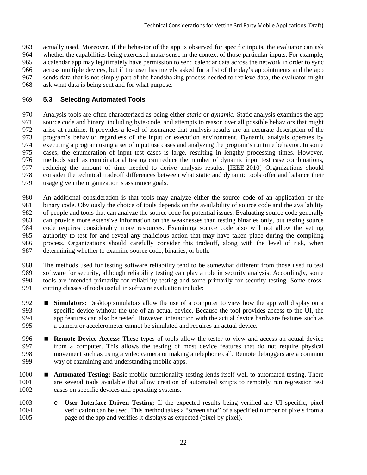actually used. Moreover, if the behavior of the app is observed for specific inputs, the evaluator can ask whether the capabilities being exercised make sense in the context of those particular inputs. For example, a calendar app may legitimately have permission to send calendar data across the network in order to sync across multiple devices, but if the user has merely asked for a list of the day's appointments and the app sends data that is not simply part of the handshaking process needed to retrieve data, the evaluator might ask what data is being sent and for what purpose.

## <span id="page-29-0"></span>**5.3 Selecting Automated Tools**

 Analysis tools are often characterized as being either *static* or *dynamic.* Static analysis examines the app source code and binary, including byte-code, and attempts to reason over all possible behaviors that might arise at runtime. It provides a level of assurance that analysis results are an accurate description of the program's behavior regardless of the input or execution environment. Dynamic analysis operates by executing a program using a set of input use cases and analyzing the program's runtime behavior. In some cases, the enumeration of input test cases is large, resulting in lengthy processing times. However, methods such as combinatorial testing can reduce the number of dynamic input test case combinations, reducing the amount of time needed to derive analysis results. [IEEE-2010] Organizations should consider the technical tradeoff differences between what static and dynamic tools offer and balance their usage given the organization's assurance goals.

 An additional consideration is that tools may analyze either the source code of an application or the binary code. Obviously the choice of tools depends on the availability of source code and the availability of people and tools that can analyze the source code for potential issues. Evaluating source code generally can provide more extensive information on the weaknesses than testing binaries only, but testing source code requires considerably more resources. Examining source code also will not allow the vetting authority to test for and reveal any malicious action that may have taken place during the compiling process. Organizations should carefully consider this tradeoff, along with the level of risk, when determining whether to examine source code, binaries, or both.

 The methods used for testing software reliability tend to be somewhat different from those used to test software for security, although reliability testing can play a role in security analysis. Accordingly, some tools are intended primarily for reliability testing and some primarily for security testing. Some cross-cutting classes of tools useful in software evaluation include:

- **Simulators:** Desktop simulators allow the use of a computer to view how the app will display on a specific device without the use of an actual device. Because the tool provides access to the UI, the app features can also be tested. However, interaction with the actual device hardware features such as a camera or accelerometer cannot be simulated and requires an actual device.
- **Remote Device Access:** These types of tools allow the tester to view and access an actual device from a computer. This allows the testing of most device features that do not require physical movement such as using a video camera or making a telephone call. Remote debuggers are a common way of examining and understanding mobile apps.
- **Automated Testing:** Basic mobile functionality testing lends itself well to automated testing. There are several tools available that allow creation of automated scripts to remotely run regression test cases on specific devices and operating systems.
- 1003 o **User Interface Driven Testing:** If the expected results being verified are UI specific, pixel<br>1004 verification can be used. This method takes a "screen shot" of a specified number of pixels from a verification can be used. This method takes a "screen shot" of a specified number of pixels from a page of the app and verifies it displays as expected (pixel by pixel).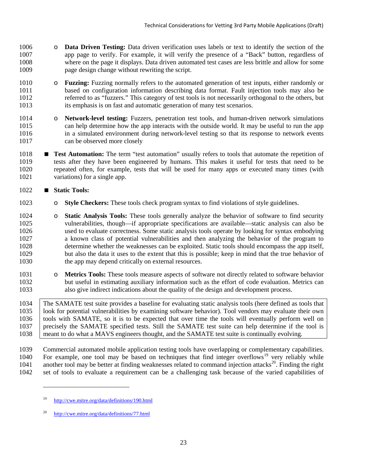- **Data Driven Testing:** Data driven verification uses labels or text to identify the section of the appropriate appropriate appropriate to verify. For example, it will verify the presence of a "Back" button, regardless app page to verify. For example, it will verify the presence of a "Back" button, regardless of where on the page it displays. Data driven automated test cases are less brittle and allow for some page design change without rewriting the script.
- 1010 o **Fuzzing:** Fuzzing normally refers to the automated generation of test inputs, either randomly or hased on configuration information describing data format. Fault injection tools may also be based on configuration information describing data format. Fault injection tools may also be referred to as "fuzzers." This category of test tools is not necessarily orthogonal to the others, but its emphasis is on fast and automatic generation of many test scenarios.
- 1014 o **Network-level testing:** Fuzzers, penetration test tools, and human-driven network simulations can help determine how the app interacts with the outside world. It may be useful to run the app can help determine how the app interacts with the outside world. It may be useful to run the app in a simulated environment during network-level testing so that its response to network events can be observed more closely
- **Test Automation:** The term "test automation" usually refers to tools that automate the repetition of tests after they have been engineered by humans. This makes it useful for tests that need to be repeated often, for example, tests that will be used for many apps or executed many times (with variations) for a single app.

## **Static Tools:**

 $\overline{a}$ 

- o **Style Checkers:** These tools check program syntax to find violations of style guidelines.
- 1024 o **Static Analysis Tools:** These tools generally analyze the behavior of software to find security vulnerabilities, though—if appropriate specifications are available—static analysis can also be vulnerabilities, though—if appropriate specifications are available—static analysis can also be used to evaluate correctness. Some static analysis tools operate by looking for syntax embodying a known class of potential vulnerabilities and then analyzing the behavior of the program to determine whether the weaknesses can be exploited. Static tools should encompass the app itself, but also the data it uses to the extent that this is possible; keep in mind that the true behavior of the app may depend critically on external resources.
- 1031 o **Metrics Tools:** These tools measure aspects of software not directly related to software behavior<br>1032 but useful in estimating auxiliary information such as the effort of code evaluation. Metrics can but useful in estimating auxiliary information such as the effort of code evaluation. Metrics can also give indirect indications about the quality of the design and development process.

 The SAMATE test suite provides a baseline for evaluating static analysis tools (here defined as tools that look for potential vulnerabilities by examining software behavior). Tool vendors may evaluate their own tools with SAMATE, so it is to be expected that over time the tools will eventually perform well on precisely the SAMATE specified tests. Still the SAMATE test suite can help determine if the tool is 1038 meant to do what a MAVS engineers thought, and the SAMATE test suite is continually evolving.

 Commercial automated mobile application testing tools have overlapping or complementary capabilities. 1040 For example, one tool may be based on techniques that find integer overflows<sup>[19](#page-30-0)</sup> very reliably while 1041 another tool may be better at finding weaknesses related to command injection attacks<sup>[20](#page-30-1)</sup>. Finding the right set of tools to evaluate a requirement can be a challenging task because of the varied capabilities of

<span id="page-30-0"></span><http://cwe.mitre.org/data/definitions/190.html>

<span id="page-30-1"></span><http://cwe.mitre.org/data/definitions/77.html>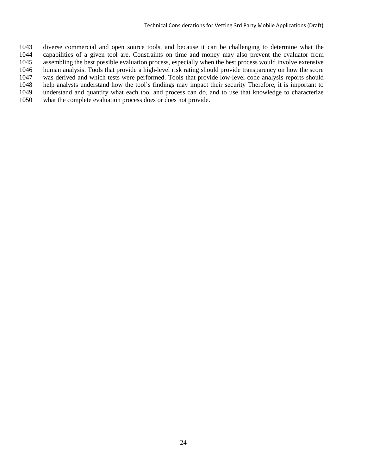diverse commercial and open source tools, and because it can be challenging to determine what the capabilities of a given tool are. Constraints on time and money may also prevent the evaluator from assembling the best possible evaluation process, especially when the best process would involve extensive human analysis. Tools that provide a high-level risk rating should provide transparency on how the score was derived and which tests were performed. Tools that provide low-level code analysis reports should help analysts understand how the tool's findings may impact their security Therefore, it is important to understand and quantify what each tool and process can do, and to use that knowledge to characterize what the complete evaluation process does or does not provide.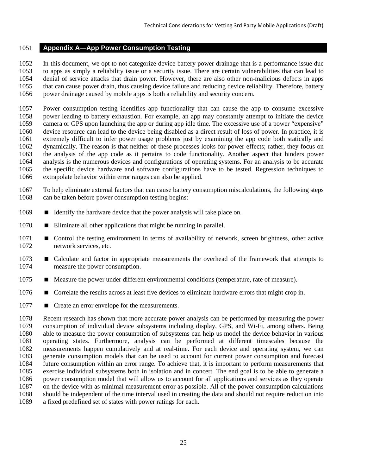#### <span id="page-32-0"></span>**Appendix A—App Power Consumption Testing**

 In this document, we opt to not categorize device battery power drainage that is a performance issue due to apps as simply a reliability issue or a security issue. There are certain vulnerabilities that can lead to denial of service attacks that drain power. However, there are also other non-malicious defects in apps that can cause power drain, thus causing device failure and reducing device reliability. Therefore, battery power drainage caused by mobile apps is both a reliability and security concern.

 Power consumption testing identifies app functionality that can cause the app to consume excessive power leading to battery exhaustion. For example, an app may constantly attempt to initiate the device camera or GPS upon launching the app or during app idle time. The excessive use of a power "expensive" device resource can lead to the device being disabled as a direct result of loss of power. In practice, it is extremely difficult to infer power usage problems just by examining the app code both statically and dynamically. The reason is that neither of these processes looks for power effects; rather, they focus on the analysis of the app code as it pertains to code functionality. Another aspect that hinders power analysis is the numerous devices and configurations of operating systems. For an analysis to be accurate the specific device hardware and software configurations have to be tested. Regression techniques to extrapolate behavior within error ranges can also be applied.

- To help eliminate external factors that can cause battery consumption miscalculations, the following steps 1068 can be taken before power consumption testing begins:
- 1069 Identify the hardware device that the power analysis will take place on.
- **Eliminate all other applications that might be running in parallel.**
- **E** Control the testing environment in terms of availability of network, screen brightness, other active network services, etc.
- **E** Calculate and factor in appropriate measurements the overhead of the framework that attempts to measure the power consumption.
- **Measure the power under different environmental conditions (temperature, rate of measure).**
- Correlate the results across at least five devices to eliminate hardware errors that might crop in.
- **Create an error envelope for the measurements.**

 Recent research has shown that more accurate power analysis can be performed by measuring the power consumption of individual device subsystems including display, GPS, and Wi-Fi, among others. Being able to measure the power consumption of subsystems can help us model the device behavior in various operating states. Furthermore, analysis can be performed at different timescales because the measurements happen cumulatively and at real-time. For each device and operating system, we can generate consumption models that can be used to account for current power consumption and forecast future consumption within an error range. To achieve that, it is important to perform measurements that exercise individual subsystems both in isolation and in concert. The end goal is to be able to generate a power consumption model that will allow us to account for all applications and services as they operate on the device with as minimal measurement error as possible. All of the power consumption calculations should be independent of the time interval used in creating the data and should not require reduction into a fixed predefined set of states with power ratings for each.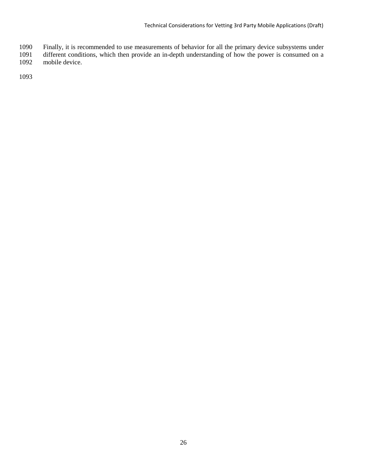- Finally, it is recommended to use measurements of behavior for all the primary device subsystems under
- different conditions, which then provide an in-depth understanding of how the power is consumed on a mobile device.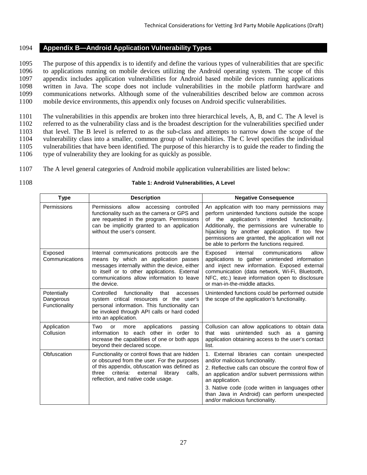#### <span id="page-34-0"></span>1094 **Appendix B—Android Application Vulnerability Types**

 The purpose of this appendix is to identify and define the various types of vulnerabilities that are specific to applications running on mobile devices utilizing the Android operating system. The scope of this appendix includes application vulnerabilities for Android based mobile devices running applications written in Java. The scope does not include vulnerabilities in the mobile platform hardware and communications networks. Although some of the vulnerabilities described below are common across mobile device environments, this appendix only focuses on Android specific vulnerabilities.

 The vulnerabilities in this appendix are broken into three hierarchical levels, A, B, and C. The A level is referred to as the vulnerability class and is the broadest description for the vulnerabilities specified under that level. The B level is referred to as the sub-class and attempts to narrow down the scope of the vulnerability class into a smaller, common group of vulnerabilities. The C level specifies the individual vulnerabilities that have been identified. The purpose of this hierarchy is to guide the reader to finding the type of vulnerability they are looking for as quickly as possible.

- 
- 1107 The A level general categories of Android mobile application vulnerabilities are listed below:
- 

#### 1108 **Table 1: Android Vulnerabilities, A Level**

<span id="page-34-1"></span>

| <b>Type</b>                               | <b>Description</b>                                                                                                                                                                                                                             | <b>Negative Consequence</b>                                                                                                                                                                                                                                                                                                                             |
|-------------------------------------------|------------------------------------------------------------------------------------------------------------------------------------------------------------------------------------------------------------------------------------------------|---------------------------------------------------------------------------------------------------------------------------------------------------------------------------------------------------------------------------------------------------------------------------------------------------------------------------------------------------------|
| Permissions                               | Permissions allow accessing controlled<br>functionality such as the camera or GPS and<br>are requested in the program. Permissions<br>can be implicitly granted to an application<br>without the user's consent.                               | An application with too many permissions may<br>perform unintended functions outside the scope<br>application's intended functionality.<br>of the<br>Additionally, the permissions are vulnerable to<br>hijacking by another application. If too few<br>permissions are granted, the application will not<br>be able to perform the functions required. |
| Exposed<br>Communications                 | Internal communications protocols are the<br>means by which an application passes<br>messages internally within the device, either<br>to itself or to other applications. External<br>communications allow information to leave<br>the device. | internal<br>allow<br>Exposed<br>communications<br>applications to gather unintended information<br>and inject new information. Exposed external<br>communication (data network, Wi-Fi, Bluetooth,<br>NFC, etc.) leave information open to disclosure<br>or man-in-the-middle attacks.                                                                   |
| Potentially<br>Dangerous<br>Functionality | functionality<br>Controlled<br>that<br>accesses<br>system critical resources or the user's<br>personal information. This functionality can<br>be invoked through API calls or hard coded<br>into an application.                               | Unintended functions could be performed outside<br>the scope of the application's functionality.                                                                                                                                                                                                                                                        |
| Application<br>Collusion                  | Two<br>applications<br>passing<br><b>or</b><br>more<br>information to each other in order to<br>increase the capabilities of one or both apps<br>beyond their declared scope.                                                                  | Collusion can allow applications to obtain data<br>that was unintended such as a gaming<br>application obtaining access to the user's contact<br>list.                                                                                                                                                                                                  |
| Obfuscation                               | Functionality or control flows that are hidden<br>or obscured from the user. For the purposes<br>of this appendix, obfuscation was defined as<br>criteria:<br>external<br>library<br>calls.<br>three<br>reflection, and native code usage.     | 1. External libraries can contain unexpected<br>and/or malicious functionality.<br>2. Reflective calls can obscure the control flow of<br>an application and/or subvert permissions within<br>an application.<br>3. Native code (code written in languages other<br>than Java in Android) can perform unexpected<br>and/or malicious functionality.     |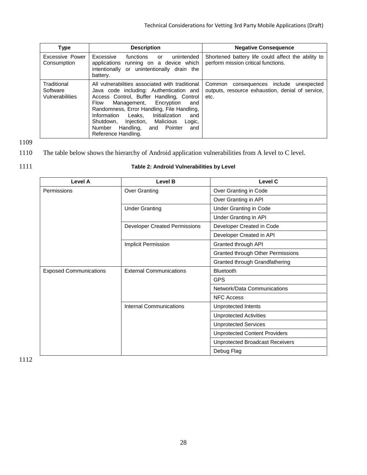| Type                                       | <b>Description</b>                                                                                                                                                                                                                                                                                                                                                                                           | <b>Negative Consequence</b>                                                                              |
|--------------------------------------------|--------------------------------------------------------------------------------------------------------------------------------------------------------------------------------------------------------------------------------------------------------------------------------------------------------------------------------------------------------------------------------------------------------------|----------------------------------------------------------------------------------------------------------|
| Excessive Power<br>Consumption             | Excessive<br>functions<br>unintended<br>or<br>applications running on a device which<br>intentionally or unintentionally drain the<br>battery.                                                                                                                                                                                                                                                               | Shortened battery life could affect the ability to<br>perform mission critical functions.                |
| Traditional<br>Software<br>Vulnerabilities | All vulnerabilities associated with traditional<br>Java code including: Authentication and<br>Access Control, Buffer Handling, Control<br>Management, Encryption<br><b>Flow</b><br>and<br>Randomness, Error Handling, File Handling,<br>Information<br>Initialization<br>Leaks.<br>and<br>Shutdown.<br>Iniection. Malicious<br>Logic,<br>Number<br>Handling,<br>Pointer<br>and<br>and<br>Reference Handling. | consequences include<br>Common<br>unexpected<br>outputs, resource exhaustion, denial of service,<br>etc. |

## 1110 The table below shows the hierarchy of Android application vulnerabilities from A level to C level.



## 1111 **Table 2: Android Vulnerabilities by Level**

<span id="page-35-0"></span>

| Level A                       | <b>Level B</b>                       | <b>Level C</b>                         |
|-------------------------------|--------------------------------------|----------------------------------------|
| Permissions                   | <b>Over Granting</b>                 | Over Granting in Code                  |
|                               |                                      | Over Granting in API                   |
|                               | <b>Under Granting</b>                | Under Granting in Code                 |
|                               |                                      | Under Granting in API                  |
|                               | <b>Developer Created Permissions</b> | Developer Created in Code              |
|                               |                                      | Developer Created in API               |
|                               | Implicit Permission                  | Granted through API                    |
|                               |                                      | Granted through Other Permissions      |
|                               |                                      | Granted through Grandfathering         |
| <b>Exposed Communications</b> | <b>External Communications</b>       | <b>Bluetooth</b>                       |
|                               |                                      | <b>GPS</b>                             |
|                               |                                      | Network/Data Communications            |
|                               |                                      | <b>NFC Access</b>                      |
|                               | Internal Communications              | Unprotected Intents                    |
|                               |                                      | <b>Unprotected Activities</b>          |
|                               |                                      | <b>Unprotected Services</b>            |
|                               |                                      | <b>Unprotected Content Providers</b>   |
|                               |                                      | <b>Unprotected Broadcast Receivers</b> |
|                               |                                      | Debug Flag                             |

1112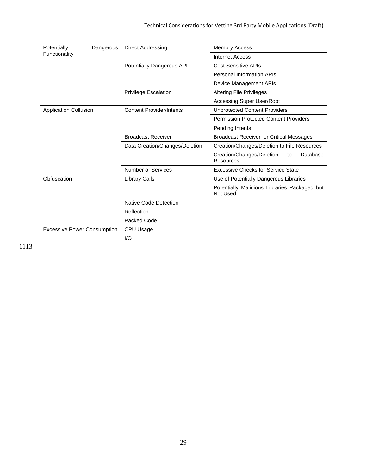| Potentially<br>Dangerous           | Direct Addressing               | <b>Memory Access</b>                                     |
|------------------------------------|---------------------------------|----------------------------------------------------------|
| Functionality                      |                                 | <b>Internet Access</b>                                   |
|                                    | Potentially Dangerous API       | <b>Cost Sensitive APIs</b>                               |
|                                    |                                 | Personal Information APIs                                |
|                                    |                                 | Device Management APIs                                   |
|                                    | <b>Privilege Escalation</b>     | <b>Altering File Privileges</b>                          |
|                                    |                                 | <b>Accessing Super User/Root</b>                         |
| <b>Application Collusion</b>       | <b>Content Provider/Intents</b> | <b>Unprotected Content Providers</b>                     |
|                                    |                                 | <b>Permission Protected Content Providers</b>            |
|                                    |                                 | Pending Intents                                          |
|                                    | <b>Broadcast Receiver</b>       | <b>Broadcast Receiver for Critical Messages</b>          |
|                                    | Data Creation/Changes/Deletion  | Creation/Changes/Deletion to File Resources              |
|                                    |                                 | Creation/Changes/Deletion<br>Database<br>to<br>Resources |
|                                    | Number of Services              | <b>Excessive Checks for Service State</b>                |
| Obfuscation                        | <b>Library Calls</b>            | Use of Potentially Dangerous Libraries                   |
|                                    |                                 | Potentially Malicious Libraries Packaged but<br>Not Used |
|                                    | Native Code Detection           |                                                          |
|                                    | Reflection                      |                                                          |
|                                    | Packed Code                     |                                                          |
| <b>Excessive Power Consumption</b> | CPU Usage                       |                                                          |
|                                    | 1/O                             |                                                          |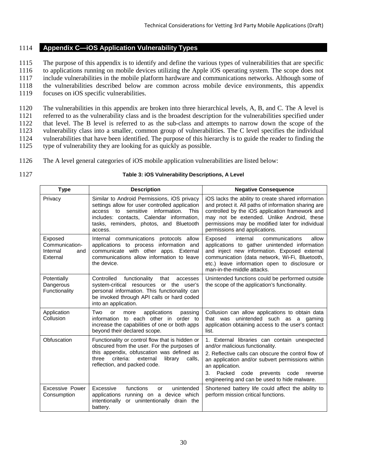## <span id="page-37-0"></span>1114 **Appendix C—iOS Application Vulnerability Types**

1115 The purpose of this appendix is to identify and define the various types of vulnerabilities that are specific

1116 to applications running on mobile devices utilizing the Apple iOS operating system. The scope does not

1117 include vulnerabilities in the mobile platform hardware and communications networks. Although some of 1118 the vulnerabilities described below are common across mobile device environments, this appendix

1119 focuses on iOS specific vulnerabilities.

 The vulnerabilities in this appendix are broken into three hierarchical levels, A, B, and C. The A level is referred to as the vulnerability class and is the broadest description for the vulnerabilities specified under that level. The B level is referred to as the sub-class and attempts to narrow down the scope of the 1123 vulnerability class into a smaller, common group of vulnerabilities. The C level specifies the individual vulnerabilities that have been identified. The purpose of this hierarchy is to guide the reader to finding the vulnerabilities that have been identified. The purpose of this hierarchy is to guide the reader to finding the type of vulnerability they are looking for as quickly as possible.

- 1126 The A level general categories of iOS mobile application vulnerabilities are listed below:
- 

#### 1127 **Table 3: iOS Vulnerability Descriptions, A Level**

<span id="page-37-1"></span>

| <b>Type</b>                                              | <b>Description</b>                                                                                                                                                                                                                                 | <b>Negative Consequence</b>                                                                                                                                                                                                                                                                                          |
|----------------------------------------------------------|----------------------------------------------------------------------------------------------------------------------------------------------------------------------------------------------------------------------------------------------------|----------------------------------------------------------------------------------------------------------------------------------------------------------------------------------------------------------------------------------------------------------------------------------------------------------------------|
| Privacy                                                  | Similar to Android Permissions, iOS privacy<br>settings allow for user controlled application<br>sensitive<br>information.<br>This<br>access to<br>includes: contacts, Calendar information,<br>tasks, reminders, photos, and Bluetooth<br>access. | iOS lacks the ability to create shared information<br>and protect it. All paths of information sharing are<br>controlled by the iOS application framework and<br>may not be extended. Unlike Android, these<br>permissions may be modified later for individual<br>permissions and applications.                     |
| Exposed<br>Communication-<br>Internal<br>and<br>External | Internal communications protocols allow<br>applications to process information and<br>communicate with other apps. External<br>communications allow information to leave<br>the device.                                                            | internal<br>communications<br>allow<br>Exposed<br>applications to gather unintended information<br>and inject new information. Exposed external<br>communication (data network, Wi-Fi, Bluetooth,<br>etc.) leave information open to disclosure or<br>man-in-the-middle attacks.                                     |
| Potentially<br>Dangerous<br>Functionality                | Controlled<br>functionality<br>that<br>accesses<br>or the user's<br>system-critical resources<br>personal information. This functionality can<br>be invoked through API calls or hard coded<br>into an application.                                | Unintended functions could be performed outside<br>the scope of the application's functionality.                                                                                                                                                                                                                     |
| Application<br>Collusion                                 | Two<br>applications<br>passing<br>or<br>more<br>information to each other in order to<br>increase the capabilities of one or both apps<br>beyond their declared scope.                                                                             | Collusion can allow applications to obtain data<br>that was unintended such as a gaming<br>application obtaining access to the user's contact<br>list.                                                                                                                                                               |
| Obfuscation                                              | Functionality or control flow that is hidden or<br>obscured from the user. For the purposes of<br>this appendix, obfuscation was defined as<br>criteria:<br>three<br>external<br>library<br>calls.<br>reflection, and packed code.                 | 1. External libraries can contain unexpected<br>and/or malicious functionality.<br>2. Reflective calls can obscure the control flow of<br>an application and/or subvert permissions within<br>an application.<br>Packed<br>3.<br>code<br>prevents<br>code<br>reverse<br>engineering and can be used to hide malware. |
| <b>Excessive Power</b><br>Consumption                    | Excessive<br>functions<br>unintended<br>or<br>applications<br>running on a device which<br>intentionally<br>or unintentionally drain the<br>battery.                                                                                               | Shortened battery life could affect the ability to<br>perform mission critical functions.                                                                                                                                                                                                                            |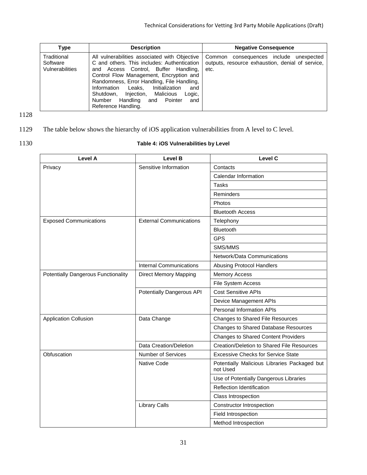| Type                                       | <b>Description</b>                                                                                                                                                                                                                                                                                                                                                                          | <b>Negative Consequence</b>                                                                           |
|--------------------------------------------|---------------------------------------------------------------------------------------------------------------------------------------------------------------------------------------------------------------------------------------------------------------------------------------------------------------------------------------------------------------------------------------------|-------------------------------------------------------------------------------------------------------|
| Traditional<br>Software<br>Vulnerabilities | All vulnerabilities associated with Objective<br>C and others. This includes: Authentication<br>and Access Control, Buffer Handling,<br>Control Flow Management, Encryption and<br>Randomness, Error Handling, File Handling,<br>Information Leaks.<br>Initialization<br>and<br>Injection, Malicious<br>Shutdown,<br>Logic,<br>Number Handling<br>and Pointer<br>and<br>Reference Handling. | Common consequences include<br>unexpected<br>outputs, resource exhaustion, denial of service,<br>etc. |

- 1129 The table below shows the hierarchy of iOS application vulnerabilities from A level to C level.
- 

## 1130 **Table 4: iOS Vulnerabilities by Level**

<span id="page-38-0"></span>

| Level A                                    | Level B                        | <b>Level C</b>                                           |
|--------------------------------------------|--------------------------------|----------------------------------------------------------|
| Privacy                                    | Sensitive Information          | Contacts                                                 |
|                                            |                                | Calendar Information                                     |
|                                            |                                | <b>Tasks</b>                                             |
|                                            |                                | Reminders                                                |
|                                            |                                | Photos                                                   |
|                                            |                                | <b>Bluetooth Access</b>                                  |
| <b>Exposed Communications</b>              | <b>External Communications</b> | Telephony                                                |
|                                            |                                | Bluetooth                                                |
|                                            |                                | <b>GPS</b>                                               |
|                                            |                                | SMS/MMS                                                  |
|                                            |                                | Network/Data Communications                              |
|                                            | <b>Internal Communications</b> | <b>Abusing Protocol Handlers</b>                         |
| <b>Potentially Dangerous Functionality</b> | <b>Direct Memory Mapping</b>   | <b>Memory Access</b>                                     |
|                                            |                                | File System Access                                       |
|                                            | Potentially Dangerous API      | <b>Cost Sensitive APIs</b>                               |
|                                            |                                | Device Management APIs                                   |
|                                            |                                | Personal Information APIs                                |
| <b>Application Collusion</b>               | Data Change                    | Changes to Shared File Resources                         |
|                                            |                                | <b>Changes to Shared Database Resources</b>              |
|                                            |                                | <b>Changes to Shared Content Providers</b>               |
|                                            | Data Creation/Deletion         | Creation/Deletion to Shared File Resources               |
| Obfuscation                                | <b>Number of Services</b>      | <b>Excessive Checks for Service State</b>                |
|                                            | Native Code                    | Potentially Malicious Libraries Packaged but<br>not Used |
|                                            |                                | Use of Potentially Dangerous Libraries                   |
|                                            |                                | <b>Reflection Identification</b>                         |
|                                            |                                | Class Introspection                                      |
|                                            | <b>Library Calls</b>           | Constructor Introspection                                |
|                                            |                                | Field Introspection                                      |
|                                            |                                | Method Introspection                                     |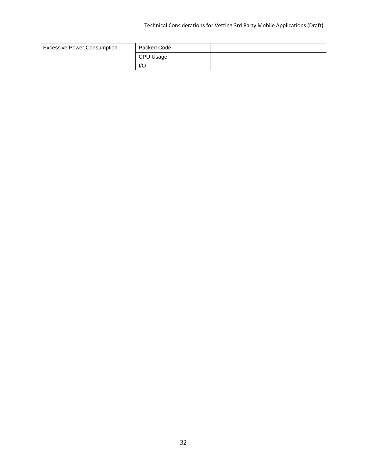## Technical Considerations for Vetting 3rd Party Mobile Applications (Draft)

| <b>Excessive Power Consumption</b> | Packed Code             |  |
|------------------------------------|-------------------------|--|
|                                    | CPU Usage               |  |
|                                    | $\mathsf{I}/\mathsf{O}$ |  |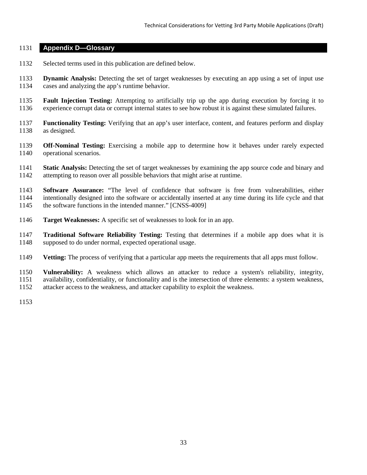#### <span id="page-40-0"></span>**Appendix D—Glossary**

- Selected terms used in this publication are defined below.
- **Dynamic Analysis:** Detecting the set of target weaknesses by executing an app using a set of input use cases and analyzing the app's runtime behavior.
- **Fault Injection Testing:** Attempting to artificially trip up the app during execution by forcing it to experience corrupt data or corrupt internal states to see how robust it is against these simulated failures.
- **Functionality Testing:** Verifying that an app's user interface, content, and features perform and display as designed.
- **Off-Nominal Testing:** Exercising a mobile app to determine how it behaves under rarely expected operational scenarios.
- **Static Analysis:** Detecting the set of target weaknesses by examining the app source code and binary and attempting to reason over all possible behaviors that might arise at runtime.
- **Software Assurance:** "The level of confidence that software is free from vulnerabilities, either intentionally designed into the software or accidentally inserted at any time during its life cycle and that the software functions in the intended manner." [CNSS-4009]
- **Target Weaknesses:** A specific set of weaknesses to look for in an app.
- **Traditional Software Reliability Testing:** Testing that determines if a mobile app does what it is supposed to do under normal, expected operational usage.
- **Vetting:** The process of verifying that a particular app meets the requirements that all apps must follow.
- **Vulnerability:** A weakness which allows an attacker to reduce a system's reliability, integrity, availability, confidentiality, or functionality and is the intersection of three elements: a system weakness,
- attacker access to the weakness, and attacker capability to exploit the weakness.
-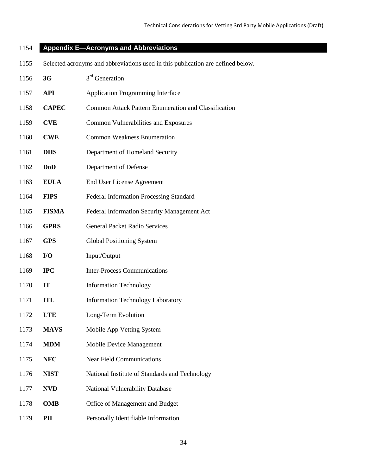## <span id="page-41-0"></span>**Appendix E—Acronyms and Abbreviations**

Selected acronyms and abbreviations used in this publication are defined below.

| 1156 | 3G           | 3 <sup>rd</sup> Generation                           |  |
|------|--------------|------------------------------------------------------|--|
| 1157 | <b>API</b>   | <b>Application Programming Interface</b>             |  |
| 1158 | <b>CAPEC</b> | Common Attack Pattern Enumeration and Classification |  |
| 1159 | <b>CVE</b>   | <b>Common Vulnerabilities and Exposures</b>          |  |
| 1160 | <b>CWE</b>   | <b>Common Weakness Enumeration</b>                   |  |
| 1161 | <b>DHS</b>   | Department of Homeland Security                      |  |
| 1162 | <b>DoD</b>   | Department of Defense                                |  |
| 1163 | <b>EULA</b>  | <b>End User License Agreement</b>                    |  |
| 1164 | <b>FIPS</b>  | Federal Information Processing Standard              |  |
| 1165 | <b>FISMA</b> | Federal Information Security Management Act          |  |
| 1166 | <b>GPRS</b>  | <b>General Packet Radio Services</b>                 |  |
| 1167 | <b>GPS</b>   | <b>Global Positioning System</b>                     |  |
| 1168 | I/O          | Input/Output                                         |  |
| 1169 | $_{\rm IPC}$ | <b>Inter-Process Communications</b>                  |  |
| 1170 | IT           | <b>Information Technology</b>                        |  |
| 1171 | <b>ITL</b>   | <b>Information Technology Laboratory</b>             |  |
| 1172 | <b>LTE</b>   | Long-Term Evolution                                  |  |
| 1173 | <b>MAVS</b>  | Mobile App Vetting System                            |  |
| 1174 | <b>MDM</b>   | <b>Mobile Device Management</b>                      |  |
| 1175 | <b>NFC</b>   | <b>Near Field Communications</b>                     |  |
| 1176 | <b>NIST</b>  | National Institute of Standards and Technology       |  |
| 1177 | <b>NVD</b>   | National Vulnerability Database                      |  |
| 1178 | <b>OMB</b>   | Office of Management and Budget                      |  |
| 1179 | PII          | Personally Identifiable Information                  |  |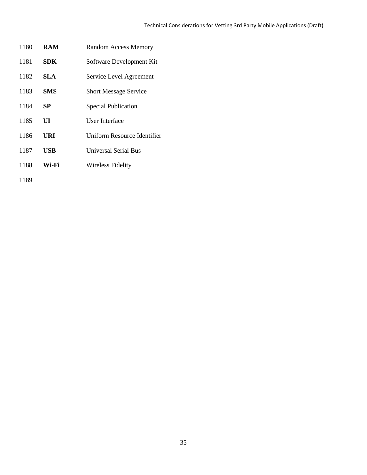| 1180 | <b>RAM</b> | <b>Random Access Memory</b>  |
|------|------------|------------------------------|
| 1181 | SDK        | Software Development Kit     |
| 1182 | SLA.       | Service Level Agreement      |
| 1183 | <b>SMS</b> | <b>Short Message Service</b> |
| 1184 | SP         | <b>Special Publication</b>   |
| 1185 | UI         | User Interface               |
| 1186 | URI        | Uniform Resource Identifier  |
| 1187 | USB        | <b>Universal Serial Bus</b>  |
| 1188 | Wi-Fi      | <b>Wireless Fidelity</b>     |
| 1189 |            |                              |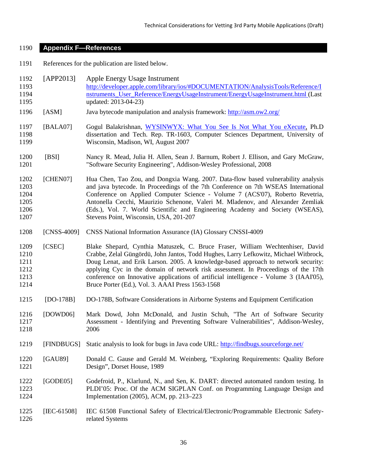#### <span id="page-43-0"></span>**Appendix F—References**

References for the publication are listed below.

| 1192 | $\begin{bmatrix} \text{APP2013} \end{bmatrix}$ | Apple Energy Usage Instrument                                                    |
|------|------------------------------------------------|----------------------------------------------------------------------------------|
| 1193 |                                                | http://developer.apple.com/library/ios/#DOCUMENTATION/AnalysisTools/Reference/I  |
| 1194 |                                                | nstruments_User_Reference/EnergyUsageInstrument/EnergyUsageInstrument.html (Last |
| 1195 |                                                | updated: 2013-04-23)                                                             |
|      |                                                |                                                                                  |

- [ASM] Java bytecode manipulation and analysis framework:<http://asm.ow2.org/>
- 1197 [BALA07] Gogul Balakrishnan, [WYSINWYX: What You See Is Not What You eXecute,](http://www.cs.wisc.edu/~bgogul/Research/Thesis/thesis.html) Ph.D dissertation and Tech. Rep. TR-1603, Computer Sciences Department, University of Wisconsin, Madison, WI, August 2007
- [BSI] Nancy R. Mead, Julia H. Allen, Sean J. Barnum, Robert J. Ellison, and Gary McGraw, "Software Security Engineering", Addison-Wesley Professional, 2008
- [CHEN07] Hua Chen, Tao Zou, and Dongxia Wang. 2007. Data-flow based vulnerability analysis and java bytecode. In Proceedings of the 7th Conference on 7th WSEAS International Conference on Applied Computer Science - Volume 7 (ACS'07), Roberto Revetria, Antonella Cecchi, Maurizio Schenone, Valeri M. Mladenov, and Alexander Zemliak (Eds.), Vol. 7. World Scientific and Engineering Academy and Society (WSEAS), Stevens Point, Wisconsin, USA, 201-207
- [CNSS-4009] CNSS National Information Assurance (IA) Glossary CNSSI-4009
- [CSEC] Blake Shepard, Cynthia Matuszek, C. Bruce Fraser, William Wechtenhiser, David Crabbe, Zelal Güngördü, John Jantos, Todd Hughes, Larry Lefkowitz, Michael Witbrock, Doug Lenat, and Erik Larson. 2005. A knowledge-based approach to network security: applying Cyc in the domain of network risk assessment. In Proceedings of the 17th conference on Innovative applications of artificial intelligence - Volume 3 (IAAI'05), Bruce Porter (Ed.), Vol. 3. AAAI Press 1563-1568
- [DO-178B] DO-178B, Software Considerations in Airborne Systems and Equipment Certification
- [DOWD06] Mark Dowd, John McDonald, and Justin Schuh, "The Art of Software Security Assessment - Identifying and Preventing Software Vulnerabilities", Addison-Wesley, 2006
- [FINDBUGS] Static analysis to look for bugs in Java code URL:<http://findbugs.sourceforge.net/>
- [GAU89] Donald C. Gause and Gerald M. Weinberg, "Exploring Requirements: Quality Before Design", Dorset House, 1989
- [GODE05] Godefroid, P., Klarlund, N., and Sen, K. DART: directed automated random testing. In PLDI'05: Proc. Of the ACM SIGPLAN Conf. on Programming Language Design and Implementation (2005), ACM, pp. 213–223
- [IEC-61508] IEC 61508 Functional Safety of Electrical/Electronic/Programmable Electronic Safety-related Systems